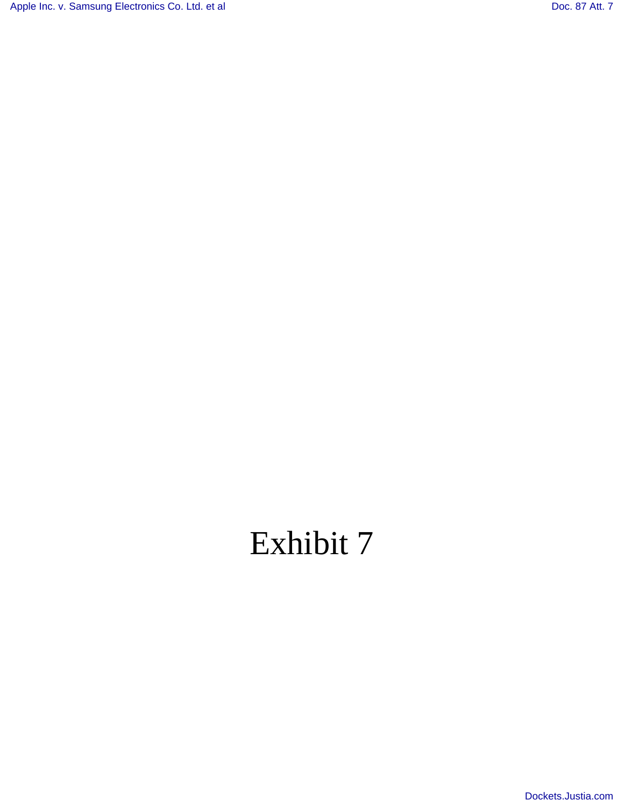[Apple Inc. v. Samsung Electronics Co. Ltd. et al](http://dockets.justia.com/docket/california/candce/5:2011cv01846/239768/) [Doc. 87 Att. 7](http://docs.justia.com/cases/federal/district-courts/california/candce/5:2011cv01846/239768/87/7.html)

# Exhibit 7

[Dockets.Justia.com](http://dockets.justia.com/)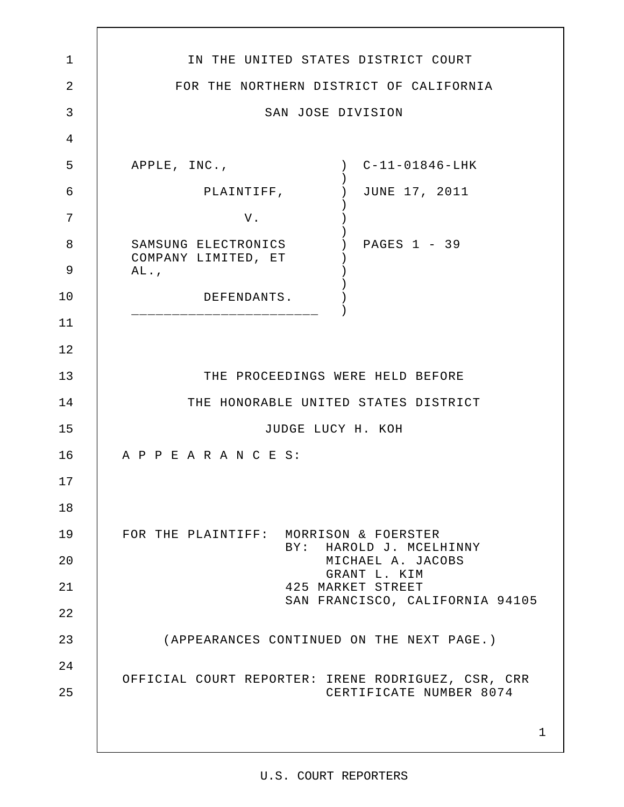| 1              | IN THE UNITED STATES DISTRICT COURT                                               |
|----------------|-----------------------------------------------------------------------------------|
| $\overline{2}$ | FOR THE NORTHERN DISTRICT OF CALIFORNIA                                           |
| 3              | SAN JOSE DIVISION                                                                 |
| 4              |                                                                                   |
| 5              | $C-11-01846-LHK$<br>APPLE, INC.,<br>$\left( \begin{array}{c} \end{array} \right)$ |
| 6              | PLAINTIFF,<br>JUNE 17, 2011                                                       |
| 7              | V.                                                                                |
| 8<br>9         | PAGES 1 - 39<br>SAMSUNG ELECTRONICS<br>COMPANY LIMITED, ET                        |
| 10             | AL.                                                                               |
|                | DEFENDANTS.                                                                       |
| 11             |                                                                                   |
| 12             |                                                                                   |
| 13             | THE PROCEEDINGS WERE HELD BEFORE                                                  |
| 14             | THE HONORABLE UNITED STATES DISTRICT                                              |
| 15             | JUDGE LUCY H. KOH                                                                 |
| 16             | A P P E A R A N C E S:                                                            |
| 17             |                                                                                   |
| 18             |                                                                                   |
| 19             | FOR THE PLAINTIFF: MORRISON & FOERSTER<br>BY: HAROLD J. MCELHINNY                 |
| 20             | MICHAEL A. JACOBS<br>GRANT L. KIM                                                 |
| 21             | 425 MARKET STREET<br>SAN FRANCISCO, CALIFORNIA 94105                              |
| 22             |                                                                                   |
| 23             | (APPEARANCES CONTINUED ON THE NEXT PAGE.)                                         |
| 24             |                                                                                   |
| 25             | OFFICIAL COURT REPORTER: IRENE RODRIGUEZ, CSR, CRR<br>CERTIFICATE NUMBER 8074     |
|                | $\mathbf{1}$                                                                      |

 $\overline{\phantom{a}}$ 

# U.S. COURT REPORTERS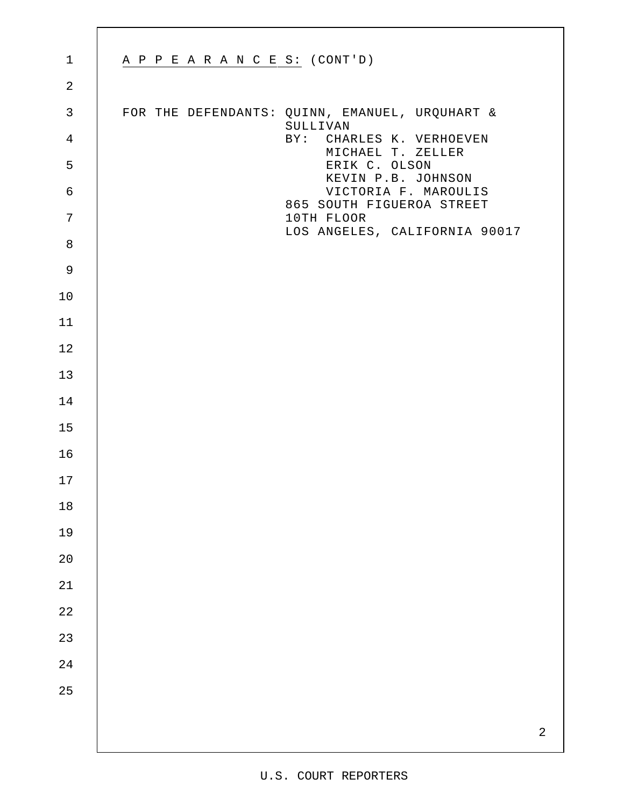| $\mathbf 1$    | A P P E A R A N C E S: (CONT'D)                            |
|----------------|------------------------------------------------------------|
| $\overline{2}$ |                                                            |
| $\mathsf{3}$   | FOR THE DEFENDANTS: QUINN, EMANUEL, URQUHART &<br>SULLIVAN |
| $\overline{4}$ | BY: CHARLES K. VERHOEVEN<br>MICHAEL T. ZELLER              |
| 5              | ERIK C. OLSON<br>KEVIN P.B. JOHNSON                        |
| $\sqrt{6}$     | VICTORIA F. MAROULIS<br>865 SOUTH FIGUEROA STREET          |
| $\overline{7}$ | 10TH FLOOR<br>LOS ANGELES, CALIFORNIA 90017                |
| $\,8\,$        |                                                            |
| $\mathsf 9$    |                                                            |
| 10             |                                                            |
| 11             |                                                            |
| 12             |                                                            |
| 13             |                                                            |
| 14             |                                                            |
| 15             |                                                            |
| 16             |                                                            |
| 17             |                                                            |
| $18\,$         |                                                            |
| 19             |                                                            |
| $2\,0$         |                                                            |
| $2\sqrt{1}$    |                                                            |
| $2\sqrt{2}$    |                                                            |
| 23             |                                                            |
| $2\sqrt{4}$    |                                                            |
| 25             |                                                            |
|                | $\sqrt{2}$                                                 |
|                |                                                            |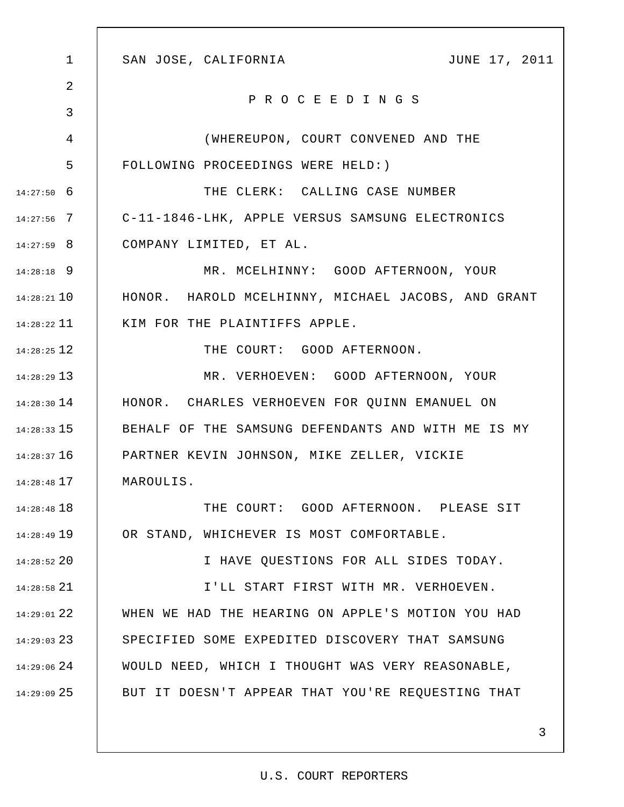| $\mathbf 1$   | JUNE 17, 2011<br>SAN JOSE, CALIFORNIA              |
|---------------|----------------------------------------------------|
| 2             | PROCEEDINGS                                        |
| 3             |                                                    |
| 4             | (WHEREUPON, COURT CONVENED AND THE                 |
| 5             | FOLLOWING PROCEEDINGS WERE HELD: )                 |
| $14:27:50$ 6  | THE CLERK: CALLING CASE NUMBER                     |
| $14:27:56$ 7  | C-11-1846-LHK, APPLE VERSUS SAMSUNG ELECTRONICS    |
| $14:27:59$ 8  | COMPANY LIMITED, ET AL.                            |
| $14:28:18$ 9  | MR. MCELHINNY: GOOD AFTERNOON, YOUR                |
| $14:28:21$ 10 | HONOR. HAROLD MCELHINNY, MICHAEL JACOBS, AND GRANT |
| $14:28:22$ 11 | KIM FOR THE PLAINTIFFS APPLE.                      |
| $14:28:25$ 12 | THE COURT: GOOD AFTERNOON.                         |
| $14:28:29$ 13 | MR. VERHOEVEN: GOOD AFTERNOON, YOUR                |
| $14:28:30$ 14 | HONOR. CHARLES VERHOEVEN FOR QUINN EMANUEL ON      |
| $14:28:33$ 15 | BEHALF OF THE SAMSUNG DEFENDANTS AND WITH ME IS MY |
| $14:28:37$ 16 | PARTNER KEVIN JOHNSON, MIKE ZELLER, VICKIE         |
| $14:28:48$ 17 | MAROULIS.                                          |
| $14:28:48$ 18 | THE COURT: GOOD AFTERNOON. PLEASE SIT              |
| 14:28:49 19   | OR STAND, WHICHEVER IS MOST COMFORTABLE.           |
| $14:28:52$ 20 | I HAVE QUESTIONS FOR ALL SIDES TODAY.              |
| $14:28:58$ 21 | I'LL START FIRST WITH MR. VERHOEVEN.               |
| 14:29:01 22   | WHEN WE HAD THE HEARING ON APPLE'S MOTION YOU HAD  |
| $14:29:03$ 23 | SPECIFIED SOME EXPEDITED DISCOVERY THAT SAMSUNG    |
| $14:29:06$ 24 | WOULD NEED, WHICH I THOUGHT WAS VERY REASONABLE,   |
| $14:29:09$ 25 | BUT IT DOESN'T APPEAR THAT YOU'RE REQUESTING THAT  |
|               |                                                    |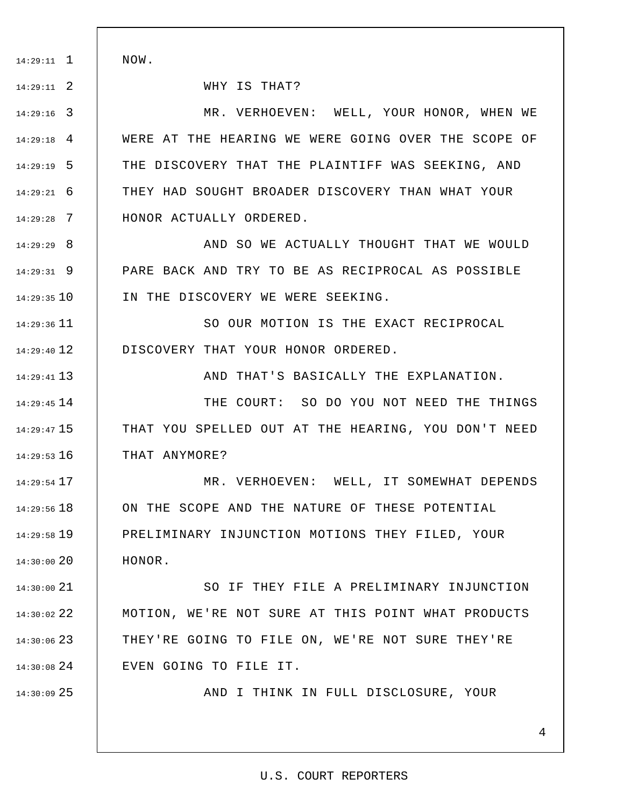NOW.

1 14:29:11

2 14:29:11

13 14:29:41

25 14:30:09

WHY IS THAT?

3 14:29:16 4 14:29:18 5 14:29:19 6 14:29:21 7 14:29:28 MR. VERHOEVEN: WELL, YOUR HONOR, WHEN WE WERE AT THE HEARING WE WERE GOING OVER THE SCOPE OF THE DISCOVERY THAT THE PLAINTIFF WAS SEEKING, AND THEY HAD SOUGHT BROADER DISCOVERY THAN WHAT YOUR HONOR ACTUALLY ORDERED.

8 14:29:29 9 14:29:31 10 14:29:35 AND SO WE ACTUALLY THOUGHT THAT WE WOULD PARE BACK AND TRY TO BE AS RECIPROCAL AS POSSIBLE IN THE DISCOVERY WE WERE SEEKING.

11 14:29:36 12 14:29:40 SO OUR MOTION IS THE EXACT RECIPROCAL DISCOVERY THAT YOUR HONOR ORDERED.

AND THAT'S BASICALLY THE EXPLANATION.

14 14:29:45 15 14:29:47 16 14:29:53 THE COURT: SO DO YOU NOT NEED THE THINGS THAT YOU SPELLED OUT AT THE HEARING, YOU DON'T NEED THAT ANYMORE?

17 14:29:54 18 14:29:56 19 14:29:58 14:30:00 20 MR. VERHOEVEN: WELL, IT SOMEWHAT DEPENDS ON THE SCOPE AND THE NATURE OF THESE POTENTIAL PRELIMINARY INJUNCTION MOTIONS THEY FILED, YOUR HONOR.

21 14:30:00 22 14:30:02 23 14:30:06 24 14:30:08 SO IF THEY FILE A PRELIMINARY INJUNCTION MOTION, WE'RE NOT SURE AT THIS POINT WHAT PRODUCTS THEY'RE GOING TO FILE ON, WE'RE NOT SURE THEY'RE EVEN GOING TO FILE IT.

AND I THINK IN FULL DISCLOSURE, YOUR

#### U.S. COURT REPORTERS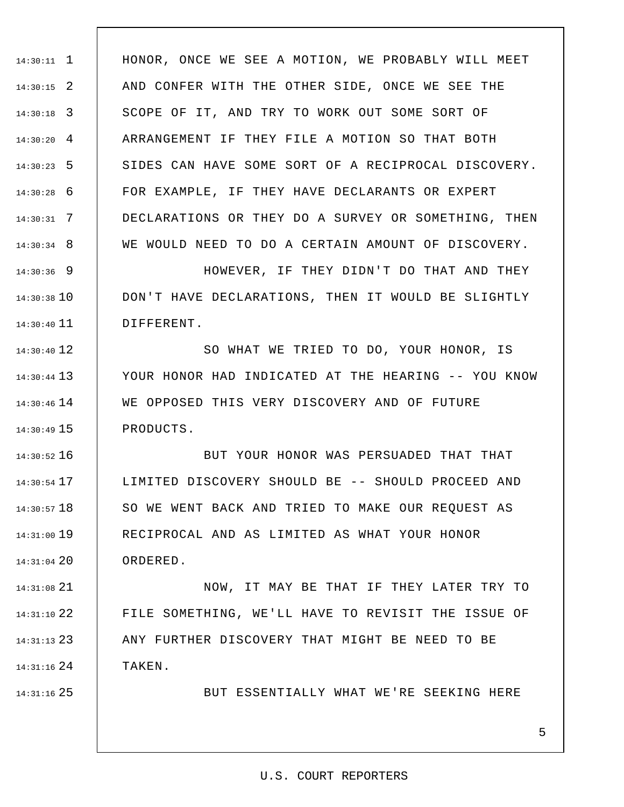1 14:30:11 2 14:30:15 3 14:30:18 4 14:30:20 5 14:30:23 6 14:30:28 7 14:30:31 8 14:30:34 HONOR, ONCE WE SEE A MOTION, WE PROBABLY WILL MEET AND CONFER WITH THE OTHER SIDE, ONCE WE SEE THE SCOPE OF IT, AND TRY TO WORK OUT SOME SORT OF ARRANGEMENT IF THEY FILE A MOTION SO THAT BOTH SIDES CAN HAVE SOME SORT OF A RECIPROCAL DISCOVERY. FOR EXAMPLE, IF THEY HAVE DECLARANTS OR EXPERT DECLARATIONS OR THEY DO A SURVEY OR SOMETHING, THEN WE WOULD NEED TO DO A CERTAIN AMOUNT OF DISCOVERY.

9 14:30:36 14:30:38 10 11 14:30:40 HOWEVER, IF THEY DIDN'T DO THAT AND THEY DON'T HAVE DECLARATIONS, THEN IT WOULD BE SLIGHTLY DIFFERENT.

12 14:30:40 13 14:30:44 14 14:30:46 15 14:30:49 SO WHAT WE TRIED TO DO, YOUR HONOR, IS YOUR HONOR HAD INDICATED AT THE HEARING -- YOU KNOW WE OPPOSED THIS VERY DISCOVERY AND OF FUTURE PRODUCTS.

16 14:30:52 17 14:30:54 18 14:30:57 19 14:31:00 20 14:31:04 BUT YOUR HONOR WAS PERSUADED THAT THAT LIMITED DISCOVERY SHOULD BE -- SHOULD PROCEED AND SO WE WENT BACK AND TRIED TO MAKE OUR REQUEST AS RECIPROCAL AND AS LIMITED AS WHAT YOUR HONOR ORDERED.

21 14:31:08 22 14:31:10 23 14:31:13 24 14:31:16 NOW, IT MAY BE THAT IF THEY LATER TRY TO FILE SOMETHING, WE'LL HAVE TO REVISIT THE ISSUE OF ANY FURTHER DISCOVERY THAT MIGHT BE NEED TO BE TAKEN.

25 14:31:16

BUT ESSENTIALLY WHAT WE'RE SEEKING HERE

### 5

#### U.S. COURT REPORTERS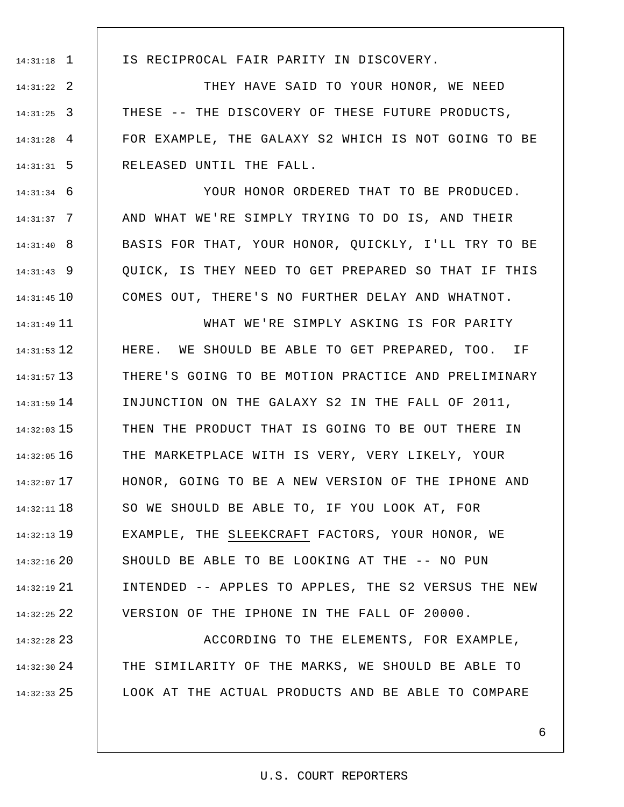1 14:31:18

IS RECIPROCAL FAIR PARITY IN DISCOVERY.

2 14:31:22 3 14:31:25 4 14:31:28 5 14:31:31 THEY HAVE SAID TO YOUR HONOR, WE NEED THESE -- THE DISCOVERY OF THESE FUTURE PRODUCTS, FOR EXAMPLE, THE GALAXY S2 WHICH IS NOT GOING TO BE RELEASED UNTIL THE FALL.

6 14:31:34 7 14:31:37 8 14:31:40 9 14:31:43 10 14:31:45 YOUR HONOR ORDERED THAT TO BE PRODUCED. AND WHAT WE'RE SIMPLY TRYING TO DO IS, AND THEIR BASIS FOR THAT, YOUR HONOR, QUICKLY, I'LL TRY TO BE QUICK, IS THEY NEED TO GET PREPARED SO THAT IF THIS COMES OUT, THERE'S NO FURTHER DELAY AND WHATNOT.

11 14:31:49 12 14:31:53 13 14:31:57 14 14:31:59 15 14:32:03 16 14:32:05 17 14:32:07 18 14:32:11 19 14:32:13 20 14:32:16 21 14:32:19 22 14:32:25 WHAT WE'RE SIMPLY ASKING IS FOR PARITY HERE. WE SHOULD BE ABLE TO GET PREPARED, TOO. IF THERE'S GOING TO BE MOTION PRACTICE AND PRELIMINARY INJUNCTION ON THE GALAXY S2 IN THE FALL OF 2011, THEN THE PRODUCT THAT IS GOING TO BE OUT THERE IN THE MARKETPLACE WITH IS VERY, VERY LIKELY, YOUR HONOR, GOING TO BE A NEW VERSION OF THE IPHONE AND SO WE SHOULD BE ABLE TO, IF YOU LOOK AT, FOR EXAMPLE, THE SLEEKCRAFT FACTORS, YOUR HONOR, WE SHOULD BE ABLE TO BE LOOKING AT THE -- NO PUN INTENDED -- APPLES TO APPLES, THE S2 VERSUS THE NEW VERSION OF THE IPHONE IN THE FALL OF 20000.

23 14:32:28 24 14:32:30 25 14:32:33 ACCORDING TO THE ELEMENTS, FOR EXAMPLE, THE SIMILARITY OF THE MARKS, WE SHOULD BE ABLE TO LOOK AT THE ACTUAL PRODUCTS AND BE ABLE TO COMPARE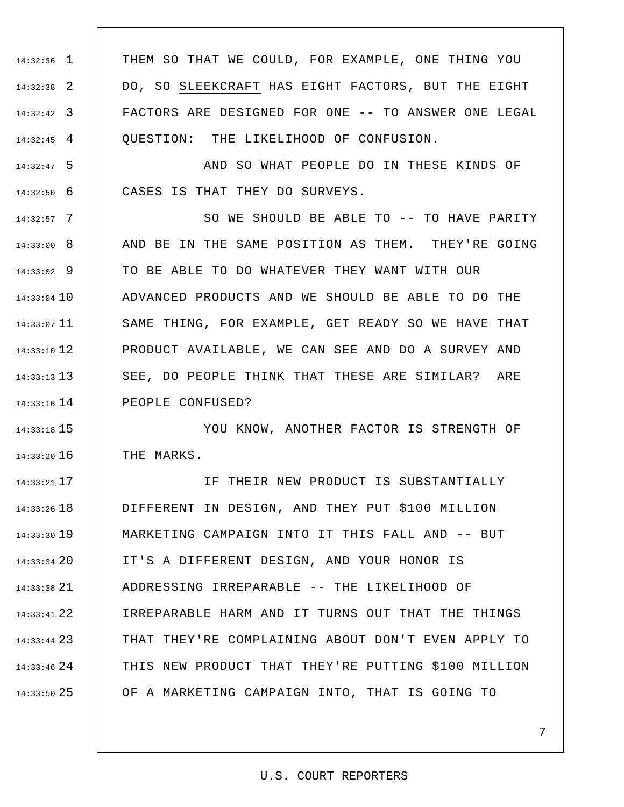1 14:32:36 2 14:32:38 3 14:32:42 4 14:32:45 THEM SO THAT WE COULD, FOR EXAMPLE, ONE THING YOU DO, SO SLEEKCRAFT HAS EIGHT FACTORS, BUT THE EIGHT FACTORS ARE DESIGNED FOR ONE -- TO ANSWER ONE LEGAL QUESTION: THE LIKELIHOOD OF CONFUSION.

5 14:32:47 6 14:32:50 AND SO WHAT PEOPLE DO IN THESE KINDS OF CASES IS THAT THEY DO SURVEYS.

7 14:32:57 8 14:33:00 9 14:33:02 14:33:04 10 11 14:33:07 12 14:33:10 13 14:33:13 14 14:33:16 SO WE SHOULD BE ABLE TO -- TO HAVE PARITY AND BE IN THE SAME POSITION AS THEM. THEY'RE GOING TO BE ABLE TO DO WHATEVER THEY WANT WITH OUR ADVANCED PRODUCTS AND WE SHOULD BE ABLE TO DO THE SAME THING, FOR EXAMPLE, GET READY SO WE HAVE THAT PRODUCT AVAILABLE, WE CAN SEE AND DO A SURVEY AND SEE, DO PEOPLE THINK THAT THESE ARE SIMILAR? ARE PEOPLE CONFUSED?

15 14:33:18 16 14:33:20 YOU KNOW, ANOTHER FACTOR IS STRENGTH OF THE MARKS.

17 14:33:21 18 14:33:26 19 14:33:30 20 14:33:34 21 14:33:38 22 14:33:41 23 14:33:44 24 14:33:46 25 14:33:50 IF THEIR NEW PRODUCT IS SUBSTANTIALLY DIFFERENT IN DESIGN, AND THEY PUT \$100 MILLION MARKETING CAMPAIGN INTO IT THIS FALL AND -- BUT IT'S A DIFFERENT DESIGN, AND YOUR HONOR IS ADDRESSING IRREPARABLE -- THE LIKELIHOOD OF IRREPARABLE HARM AND IT TURNS OUT THAT THE THINGS THAT THEY'RE COMPLAINING ABOUT DON'T EVEN APPLY TO THIS NEW PRODUCT THAT THEY'RE PUTTING \$100 MILLION OF A MARKETING CAMPAIGN INTO, THAT IS GOING TO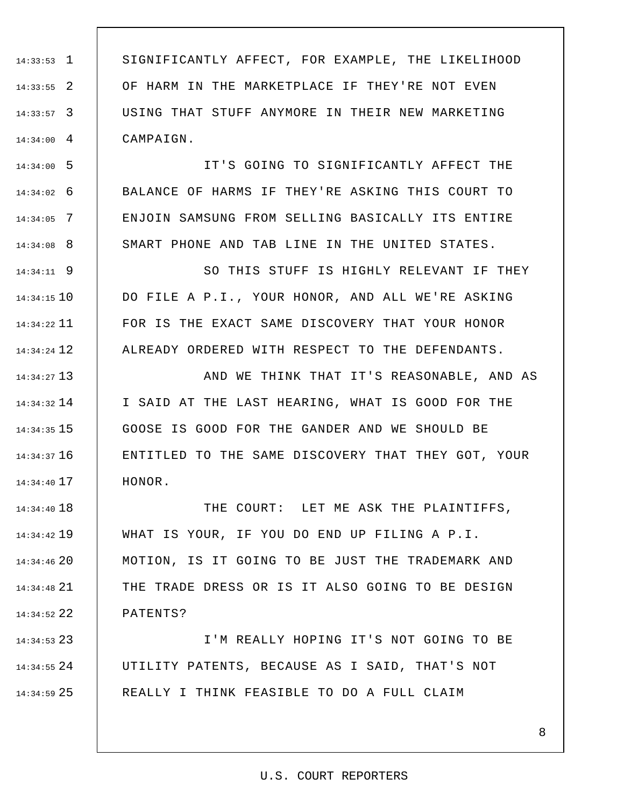1 14:33:53 2 14:33:55 3 14:33:57 4 14:34:00 SIGNIFICANTLY AFFECT, FOR EXAMPLE, THE LIKELIHOOD OF HARM IN THE MARKETPLACE IF THEY'RE NOT EVEN USING THAT STUFF ANYMORE IN THEIR NEW MARKETING CAMPAIGN.

5 14:34:00 6 14:34:02 7 14:34:05 8 14:34:08 IT'S GOING TO SIGNIFICANTLY AFFECT THE BALANCE OF HARMS IF THEY'RE ASKING THIS COURT TO ENJOIN SAMSUNG FROM SELLING BASICALLY ITS ENTIRE SMART PHONE AND TAB LINE IN THE UNITED STATES.

9 14:34:11 10 14:34:15 11 14:34:22 12 14:34:24 SO THIS STUFF IS HIGHLY RELEVANT IF THEY DO FILE A P.I., YOUR HONOR, AND ALL WE'RE ASKING FOR IS THE EXACT SAME DISCOVERY THAT YOUR HONOR ALREADY ORDERED WITH RESPECT TO THE DEFENDANTS.

13 14:34:27 14 14:34:32 15 14:34:35 16 14:34:37 17 14:34:40 AND WE THINK THAT IT'S REASONABLE, AND AS I SAID AT THE LAST HEARING, WHAT IS GOOD FOR THE GOOSE IS GOOD FOR THE GANDER AND WE SHOULD BE ENTITLED TO THE SAME DISCOVERY THAT THEY GOT, YOUR HONOR.

18 14:34:40 19 14:34:42 20 14:34:46 21 14:34:48 22 14:34:52 THE COURT: LET ME ASK THE PLAINTIFFS, WHAT IS YOUR, IF YOU DO END UP FILING A P.I. MOTION, IS IT GOING TO BE JUST THE TRADEMARK AND THE TRADE DRESS OR IS IT ALSO GOING TO BE DESIGN PATENTS?

23 14:34:53 24 14:34:55 25 14:34:59 I'M REALLY HOPING IT'S NOT GOING TO BE UTILITY PATENTS, BECAUSE AS I SAID, THAT'S NOT REALLY I THINK FEASIBLE TO DO A FULL CLAIM

#### U.S. COURT REPORTERS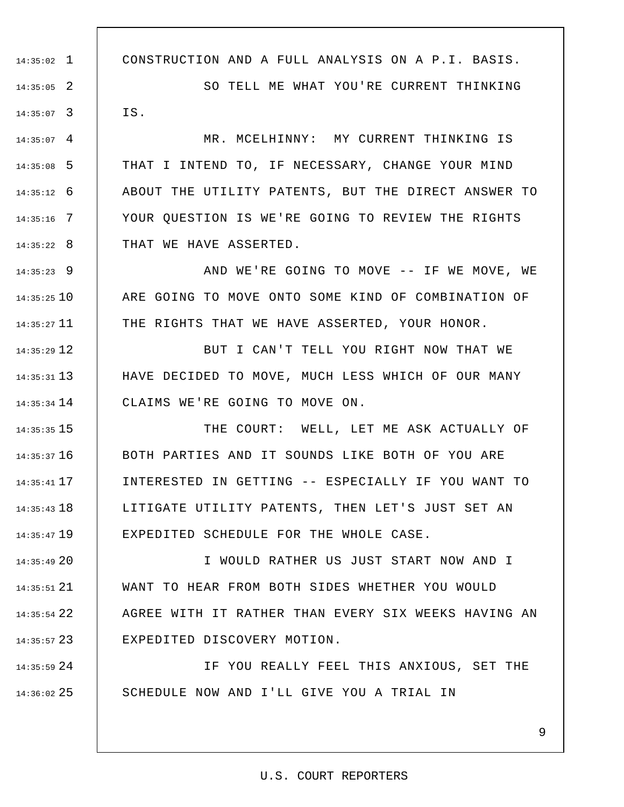1 14:35:02 2 14:35:05 3 14:35:07  $14:35:07$  4 5 14:35:08 6 14:35:12 7 14:35:16 8 14:35:22 9 14:35:23 10 14:35:25 11 14:35:27 12 14:35:29 13 14:35:31 14 14:35:34 15 14:35:35 16 14:35:37 17 14:35:41 18 14:35:43 19 14:35:47 20 14:35:49 CONSTRUCTION AND A FULL ANALYSIS ON A P.I. BASIS. SO TELL ME WHAT YOU'RE CURRENT THINKING IS. MR. MCELHINNY: MY CURRENT THINKING IS THAT I INTEND TO, IF NECESSARY, CHANGE YOUR MIND ABOUT THE UTILITY PATENTS, BUT THE DIRECT ANSWER TO YOUR QUESTION IS WE'RE GOING TO REVIEW THE RIGHTS THAT WE HAVE ASSERTED. AND WE'RE GOING TO MOVE -- IF WE MOVE, WE ARE GOING TO MOVE ONTO SOME KIND OF COMBINATION OF THE RIGHTS THAT WE HAVE ASSERTED, YOUR HONOR. BUT I CAN'T TELL YOU RIGHT NOW THAT WE HAVE DECIDED TO MOVE, MUCH LESS WHICH OF OUR MANY CLAIMS WE'RE GOING TO MOVE ON. THE COURT: WELL, LET ME ASK ACTUALLY OF BOTH PARTIES AND IT SOUNDS LIKE BOTH OF YOU ARE INTERESTED IN GETTING -- ESPECIALLY IF YOU WANT TO LITIGATE UTILITY PATENTS, THEN LET'S JUST SET AN EXPEDITED SCHEDULE FOR THE WHOLE CASE. I WOULD RATHER US JUST START NOW AND I

21 14:35:51 22 14:35:54 23 14:35:57 WANT TO HEAR FROM BOTH SIDES WHETHER YOU WOULD AGREE WITH IT RATHER THAN EVERY SIX WEEKS HAVING AN EXPEDITED DISCOVERY MOTION.

24 14:35:59 25 14:36:02 IF YOU REALLY FEEL THIS ANXIOUS, SET THE SCHEDULE NOW AND I'LL GIVE YOU A TRIAL IN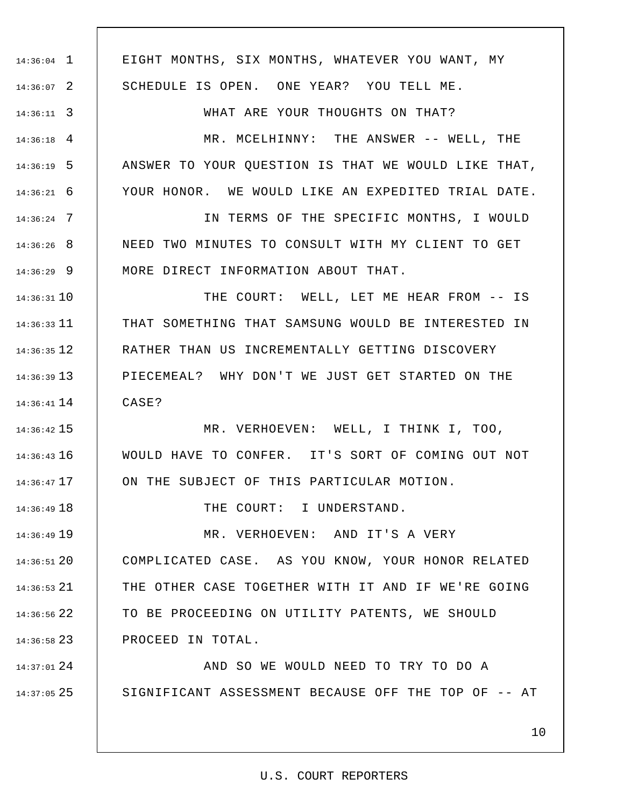1 14:36:04 2 14:36:07 3 14:36:11 4 14:36:18 5 14:36:19 6 14:36:21 7 14:36:24 8 14:36:26 9 14:36:29 10 14:36:31 11 14:36:33 12 14:36:35 13 14:36:39 14 14:36:41 15 14:36:42 16 14:36:43 17 14:36:47 18 14:36:49 19 14:36:49 20 14:36:51 21 14:36:53 22 14:36:56 23 14:36:58 24 14:37:01 25 14:37:05 EIGHT MONTHS, SIX MONTHS, WHATEVER YOU WANT, MY SCHEDULE IS OPEN. ONE YEAR? YOU TELL ME. WHAT ARE YOUR THOUGHTS ON THAT? MR. MCELHINNY: THE ANSWER -- WELL, THE ANSWER TO YOUR QUESTION IS THAT WE WOULD LIKE THAT, YOUR HONOR. WE WOULD LIKE AN EXPEDITED TRIAL DATE. IN TERMS OF THE SPECIFIC MONTHS, I WOULD NEED TWO MINUTES TO CONSULT WITH MY CLIENT TO GET MORE DIRECT INFORMATION ABOUT THAT. THE COURT: WELL, LET ME HEAR FROM -- IS THAT SOMETHING THAT SAMSUNG WOULD BE INTERESTED IN RATHER THAN US INCREMENTALLY GETTING DISCOVERY PIECEMEAL? WHY DON'T WE JUST GET STARTED ON THE CASE? MR. VERHOEVEN: WELL, I THINK I, TOO, WOULD HAVE TO CONFER. IT'S SORT OF COMING OUT NOT ON THE SUBJECT OF THIS PARTICULAR MOTION. THE COURT: I UNDERSTAND. MR. VERHOEVEN: AND IT'S A VERY COMPLICATED CASE. AS YOU KNOW, YOUR HONOR RELATED THE OTHER CASE TOGETHER WITH IT AND IF WE'RE GOING TO BE PROCEEDING ON UTILITY PATENTS, WE SHOULD PROCEED IN TOTAL. AND SO WE WOULD NEED TO TRY TO DO A SIGNIFICANT ASSESSMENT BECAUSE OFF THE TOP OF -- AT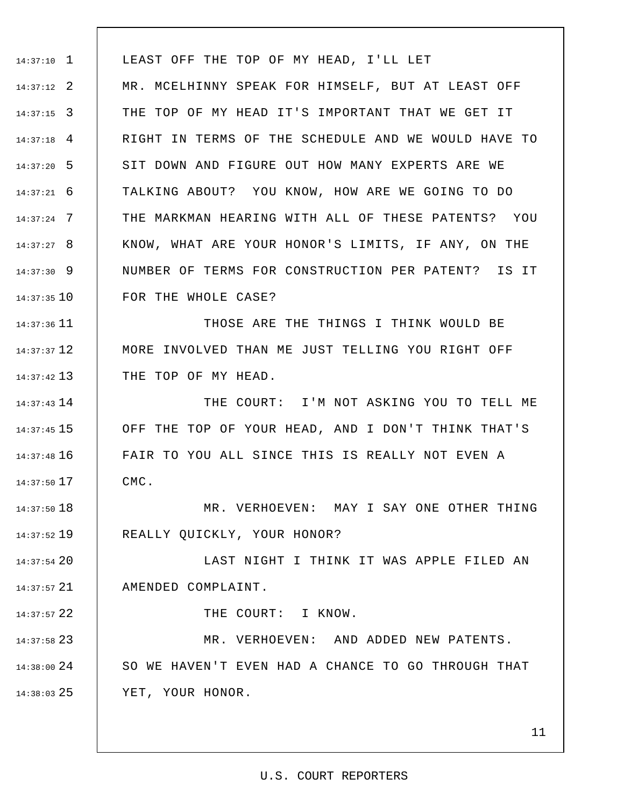1 14:37:10 2 14:37:12 3 14:37:15 4 14:37:18 5 14:37:20 6 14:37:21 7 14:37:24 8 14:37:27 9 14:37:30 10 14:37:35 LEAST OFF THE TOP OF MY HEAD, I'LL LET MR. MCELHINNY SPEAK FOR HIMSELF, BUT AT LEAST OFF THE TOP OF MY HEAD IT'S IMPORTANT THAT WE GET IT RIGHT IN TERMS OF THE SCHEDULE AND WE WOULD HAVE TO SIT DOWN AND FIGURE OUT HOW MANY EXPERTS ARE WE TALKING ABOUT? YOU KNOW, HOW ARE WE GOING TO DO THE MARKMAN HEARING WITH ALL OF THESE PATENTS? YOU KNOW, WHAT ARE YOUR HONOR'S LIMITS, IF ANY, ON THE NUMBER OF TERMS FOR CONSTRUCTION PER PATENT? IS IT FOR THE WHOLE CASE?

11 14:37:36 12 14:37:37 13 14:37:42 THOSE ARE THE THINGS I THINK WOULD BE MORE INVOLVED THAN ME JUST TELLING YOU RIGHT OFF THE TOP OF MY HEAD.

14 14:37:43 15 14:37:45 16 14:37:48 17 14:37:50 THE COURT: I'M NOT ASKING YOU TO TELL ME OFF THE TOP OF YOUR HEAD, AND I DON'T THINK THAT'S FAIR TO YOU ALL SINCE THIS IS REALLY NOT EVEN A CMC.

18 14:37:50 19 14:37:52 MR. VERHOEVEN: MAY I SAY ONE OTHER THING REALLY QUICKLY, YOUR HONOR?

20 14:37:54 21 14:37:57 LAST NIGHT I THINK IT WAS APPLE FILED AN AMENDED COMPLAINT.

THE COURT: I KNOW.

22 14:37:57

23 14:37:58 24 14:38:00 25 14:38:03 MR. VERHOEVEN: AND ADDED NEW PATENTS. SO WE HAVEN'T EVEN HAD A CHANCE TO GO THROUGH THAT YET, YOUR HONOR.

11

#### U.S. COURT REPORTERS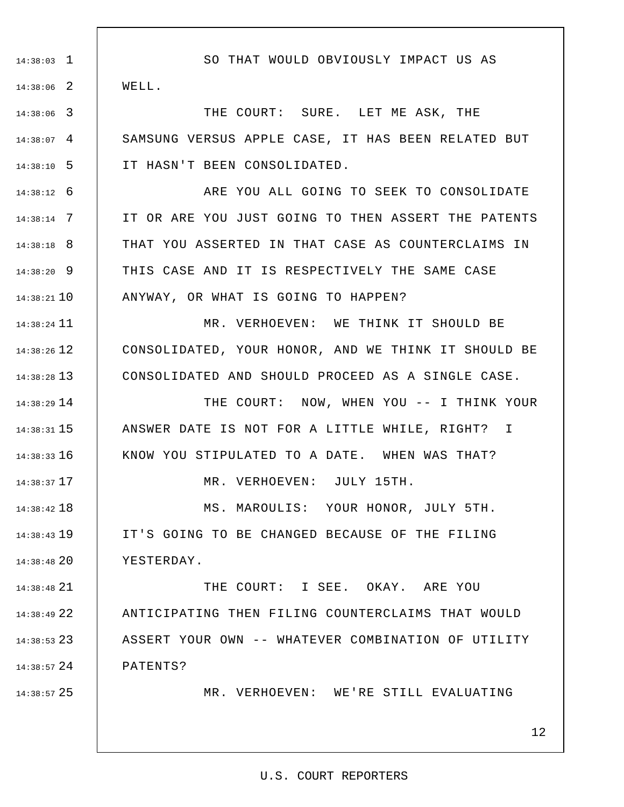1 14:38:03 2 14:38:06 3 14:38:06 4 14:38:07 5 14:38:10 6 14:38:12 7 14:38:14 8 14:38:18 9 14:38:20 10 14:38:21 11 14:38:24 12 14:38:26 13 14:38:28 14 14:38:29 15 14:38:31 16 14:38:33 17 14:38:37 18 14:38:42 19 14:38:43 20 14:38:48 21 14:38:48 22 14:38:49 23 14:38:53 24 14:38:57 25 14:38:57 SO THAT WOULD OBVIOUSLY IMPACT US AS WELL. THE COURT: SURE. LET ME ASK, THE SAMSUNG VERSUS APPLE CASE, IT HAS BEEN RELATED BUT IT HASN'T BEEN CONSOLIDATED. ARE YOU ALL GOING TO SEEK TO CONSOLIDATE IT OR ARE YOU JUST GOING TO THEN ASSERT THE PATENTS THAT YOU ASSERTED IN THAT CASE AS COUNTERCLAIMS IN THIS CASE AND IT IS RESPECTIVELY THE SAME CASE ANYWAY, OR WHAT IS GOING TO HAPPEN? MR. VERHOEVEN: WE THINK IT SHOULD BE CONSOLIDATED, YOUR HONOR, AND WE THINK IT SHOULD BE CONSOLIDATED AND SHOULD PROCEED AS A SINGLE CASE. THE COURT: NOW, WHEN YOU -- I THINK YOUR ANSWER DATE IS NOT FOR A LITTLE WHILE, RIGHT? I KNOW YOU STIPULATED TO A DATE. WHEN WAS THAT? MR. VERHOEVEN: JULY 15TH. MS. MAROULIS: YOUR HONOR, JULY 5TH. IT'S GOING TO BE CHANGED BECAUSE OF THE FILING YESTERDAY. THE COURT: I SEE. OKAY. ARE YOU ANTICIPATING THEN FILING COUNTERCLAIMS THAT WOULD ASSERT YOUR OWN -- WHATEVER COMBINATION OF UTILITY PATENTS? MR. VERHOEVEN: WE'RE STILL EVALUATING

U.S. COURT REPORTERS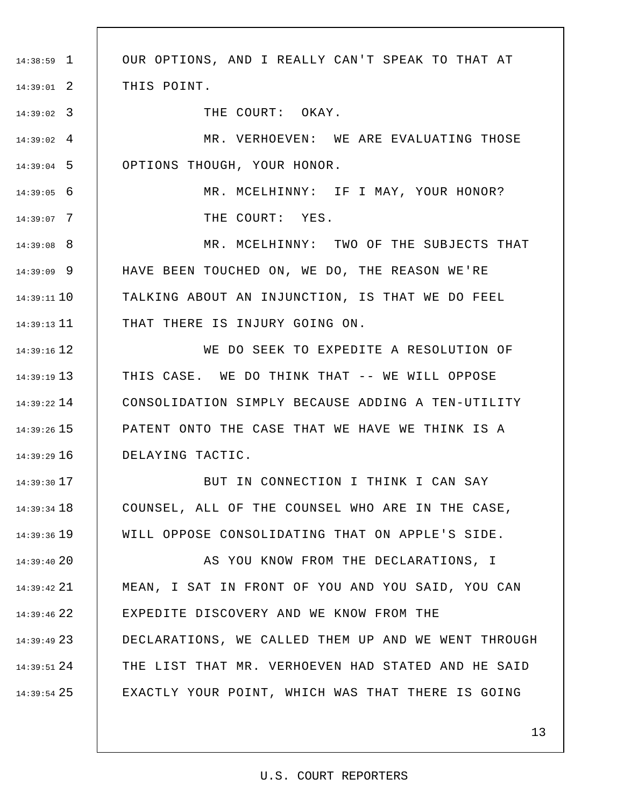1 14:38:59 2 14:39:01 3 14:39:02 4 14:39:02 5 14:39:04 6 14:39:05 7 14:39:07 8 14:39:08 9 14:39:09 10 14:39:11 11 14:39:13 12 14:39:16 13 14:39:19 14 14:39:22 15 14:39:26 16 14:39:29 17 14:39:30 18 14:39:34 19 14:39:36 20 14:39:40 21 14:39:42 22 14:39:46 23 14:39:49 24 14:39:51 25 14:39:54 OUR OPTIONS, AND I REALLY CAN'T SPEAK TO THAT AT THIS POINT. THE COURT: OKAY. MR. VERHOEVEN: WE ARE EVALUATING THOSE OPTIONS THOUGH, YOUR HONOR. MR. MCELHINNY: IF I MAY, YOUR HONOR? THE COURT: YES. MR. MCELHINNY: TWO OF THE SUBJECTS THAT HAVE BEEN TOUCHED ON, WE DO, THE REASON WE'RE TALKING ABOUT AN INJUNCTION, IS THAT WE DO FEEL THAT THERE IS INJURY GOING ON. WE DO SEEK TO EXPEDITE A RESOLUTION OF THIS CASE. WE DO THINK THAT -- WE WILL OPPOSE CONSOLIDATION SIMPLY BECAUSE ADDING A TEN-UTILITY PATENT ONTO THE CASE THAT WE HAVE WE THINK IS A DELAYING TACTIC. BUT IN CONNECTION I THINK I CAN SAY COUNSEL, ALL OF THE COUNSEL WHO ARE IN THE CASE, WILL OPPOSE CONSOLIDATING THAT ON APPLE'S SIDE. AS YOU KNOW FROM THE DECLARATIONS, I MEAN, I SAT IN FRONT OF YOU AND YOU SAID, YOU CAN EXPEDITE DISCOVERY AND WE KNOW FROM THE DECLARATIONS, WE CALLED THEM UP AND WE WENT THROUGH THE LIST THAT MR. VERHOEVEN HAD STATED AND HE SAID EXACTLY YOUR POINT, WHICH WAS THAT THERE IS GOING

#### U.S. COURT REPORTERS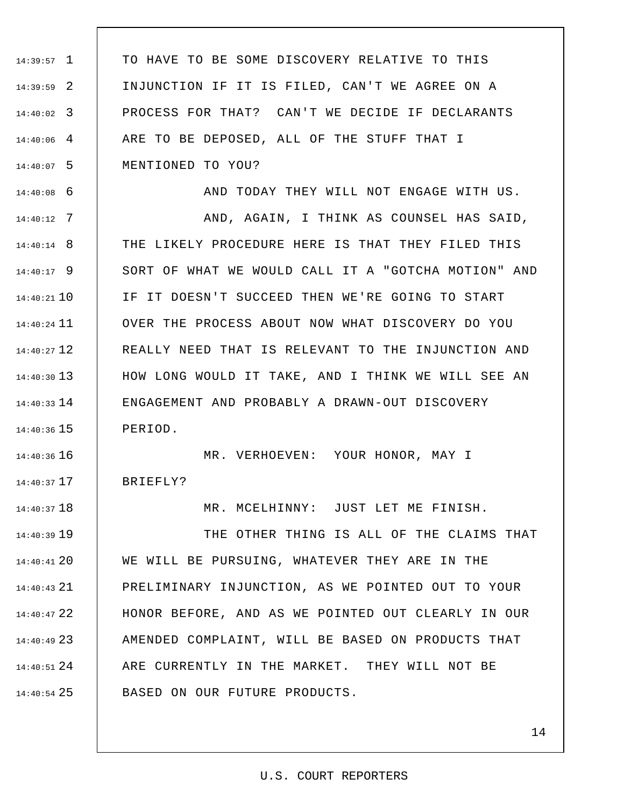1 14:39:57 2 14:39:59 3 14:40:02 4 14:40:06 5 14:40:07 TO HAVE TO BE SOME DISCOVERY RELATIVE TO THIS INJUNCTION IF IT IS FILED, CAN'T WE AGREE ON A PROCESS FOR THAT? CAN'T WE DECIDE IF DECLARANTS ARE TO BE DEPOSED, ALL OF THE STUFF THAT I MENTIONED TO YOU?

6 14:40:08

7 14:40:12

18 14:40:37

AND TODAY THEY WILL NOT ENGAGE WITH US. AND, AGAIN, I THINK AS COUNSEL HAS SAID,

8 14:40:14 9 14:40:17 10 14:40:21 11 14:40:24 12 14:40:27 13 14:40:30 14 14:40:33 15 14:40:36 THE LIKELY PROCEDURE HERE IS THAT THEY FILED THIS SORT OF WHAT WE WOULD CALL IT A "GOTCHA MOTION" AND IF IT DOESN'T SUCCEED THEN WE'RE GOING TO START OVER THE PROCESS ABOUT NOW WHAT DISCOVERY DO YOU REALLY NEED THAT IS RELEVANT TO THE INJUNCTION AND HOW LONG WOULD IT TAKE, AND I THINK WE WILL SEE AN ENGAGEMENT AND PROBABLY A DRAWN-OUT DISCOVERY PERIOD.

14:40:36 16 17 14:40:37 MR. VERHOEVEN: YOUR HONOR, MAY I BRIEFLY?

MR. MCELHINNY: JUST LET ME FINISH.

19 14:40:39 20 14:40:41 21 14:40:43 22 14:40:47 23 14:40:49 24 14:40:51 25 14:40:54 THE OTHER THING IS ALL OF THE CLAIMS THAT WE WILL BE PURSUING, WHATEVER THEY ARE IN THE PRELIMINARY INJUNCTION, AS WE POINTED OUT TO YOUR HONOR BEFORE, AND AS WE POINTED OUT CLEARLY IN OUR AMENDED COMPLAINT, WILL BE BASED ON PRODUCTS THAT ARE CURRENTLY IN THE MARKET. THEY WILL NOT BE BASED ON OUR FUTURE PRODUCTS.

#### U.S. COURT REPORTERS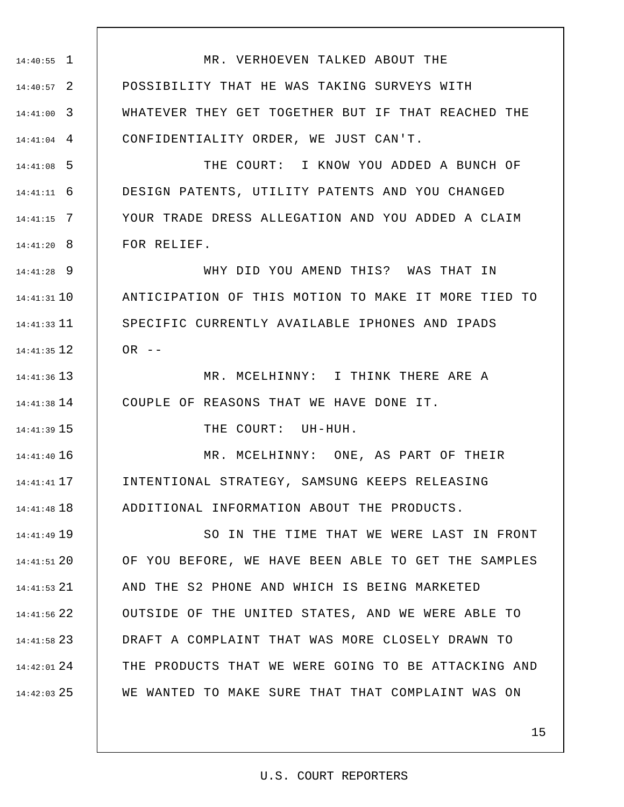1 14:40:55 2 14:40:57 3 14:41:00 4 14:41:04 5 14:41:08 6 14:41:11 7 14:41:15 8 14:41:20 9 14:41:28 10 14:41:31 11 14:41:33 12 14:41:35 13 14:41:36 14 14:41:38 15 14:41:39 16 14:41:40 17 14:41:41 18 14:41:48 19 14:41:49 20 14:41:51 21 14:41:53 22 14:41:56 23 14:41:58 24 14:42:01 25 14:42:03 MR. VERHOEVEN TALKED ABOUT THE POSSIBILITY THAT HE WAS TAKING SURVEYS WITH WHATEVER THEY GET TOGETHER BUT IF THAT REACHED THE CONFIDENTIALITY ORDER, WE JUST CAN'T. THE COURT: I KNOW YOU ADDED A BUNCH OF DESIGN PATENTS, UTILITY PATENTS AND YOU CHANGED YOUR TRADE DRESS ALLEGATION AND YOU ADDED A CLAIM FOR RELIEF. WHY DID YOU AMEND THIS? WAS THAT IN ANTICIPATION OF THIS MOTION TO MAKE IT MORE TIED TO SPECIFIC CURRENTLY AVAILABLE IPHONES AND IPADS  $OR$  --MR. MCELHINNY: I THINK THERE ARE A COUPLE OF REASONS THAT WE HAVE DONE IT. THE COURT: UH-HUH. MR. MCELHINNY: ONE, AS PART OF THEIR INTENTIONAL STRATEGY, SAMSUNG KEEPS RELEASING ADDITIONAL INFORMATION ABOUT THE PRODUCTS. SO IN THE TIME THAT WE WERE LAST IN FRONT OF YOU BEFORE, WE HAVE BEEN ABLE TO GET THE SAMPLES AND THE S2 PHONE AND WHICH IS BEING MARKETED OUTSIDE OF THE UNITED STATES, AND WE WERE ABLE TO DRAFT A COMPLAINT THAT WAS MORE CLOSELY DRAWN TO THE PRODUCTS THAT WE WERE GOING TO BE ATTACKING AND WE WANTED TO MAKE SURE THAT THAT COMPLAINT WAS ON

#### U.S. COURT REPORTERS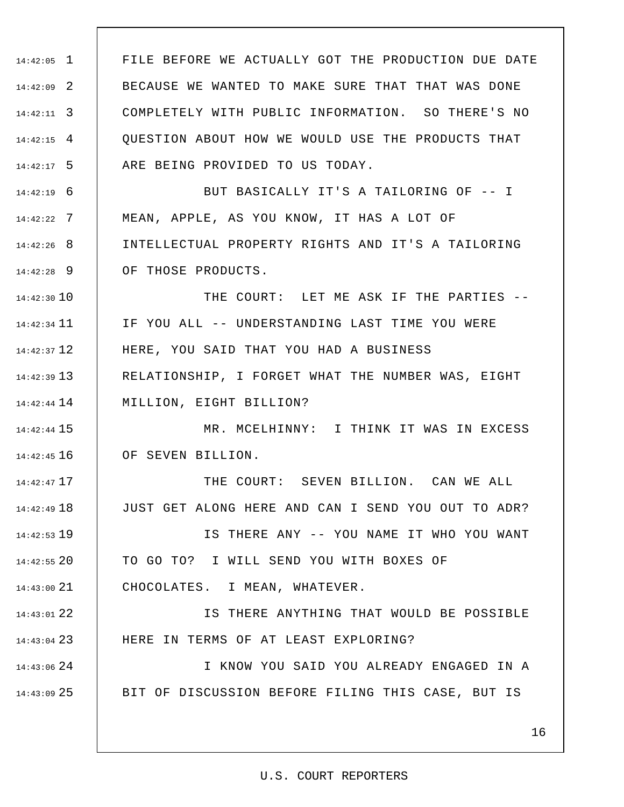1 14:42:05 2 14:42:09 3 14:42:11 4 14:42:15 5 14:42:17 6 14:42:19 7 14:42:22 8 14:42:26 9 14:42:28 14:42:30 10 11 14:42:34 12 14:42:37 13 14:42:39 14 14:42:44 15 14:42:44 16 14:42:45 17 14:42:47 18 14:42:49 19 14:42:53 20 14:42:55 21 14:43:00 22 14:43:01 23 14:43:04 24 14:43:06 25 14:43:09 16 FILE BEFORE WE ACTUALLY GOT THE PRODUCTION DUE DATE BECAUSE WE WANTED TO MAKE SURE THAT THAT WAS DONE COMPLETELY WITH PUBLIC INFORMATION. SO THERE'S NO QUESTION ABOUT HOW WE WOULD USE THE PRODUCTS THAT ARE BEING PROVIDED TO US TODAY. BUT BASICALLY IT'S A TAILORING OF -- I MEAN, APPLE, AS YOU KNOW, IT HAS A LOT OF INTELLECTUAL PROPERTY RIGHTS AND IT'S A TAILORING OF THOSE PRODUCTS. THE COURT: LET ME ASK IF THE PARTIES -- IF YOU ALL -- UNDERSTANDING LAST TIME YOU WERE HERE, YOU SAID THAT YOU HAD A BUSINESS RELATIONSHIP, I FORGET WHAT THE NUMBER WAS, EIGHT MILLION, EIGHT BILLION? MR. MCELHINNY: I THINK IT WAS IN EXCESS OF SEVEN BILLION. THE COURT: SEVEN BILLION. CAN WE ALL JUST GET ALONG HERE AND CAN I SEND YOU OUT TO ADR? IS THERE ANY -- YOU NAME IT WHO YOU WANT TO GO TO? I WILL SEND YOU WITH BOXES OF CHOCOLATES. I MEAN, WHATEVER. IS THERE ANYTHING THAT WOULD BE POSSIBLE HERE IN TERMS OF AT LEAST EXPLORING? I KNOW YOU SAID YOU ALREADY ENGAGED IN A BIT OF DISCUSSION BEFORE FILING THIS CASE, BUT IS

#### U.S. COURT REPORTERS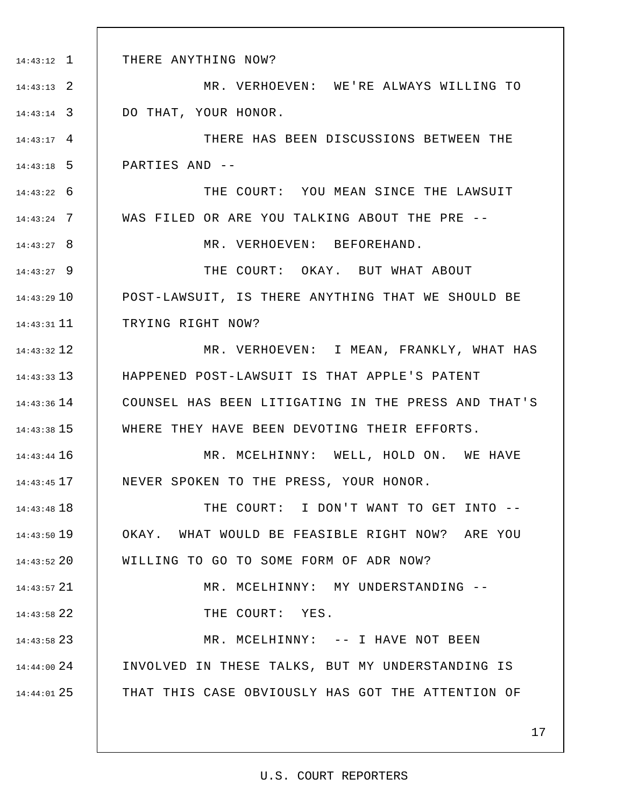1 14:43:12 2 14:43:13 3 14:43:14 4 14:43:17 5 14:43:18 6 14:43:22 7 14:43:24 8 14:43:27 9 14:43:27 10 14:43:29 11 14:43:31 12 14:43:32 13 14:43:33 14 14:43:36 15 14:43:38 16 14:43:44 17 14:43:45 18 14:43:48 19 14:43:50 20 14:43:52 21 14:43:57 22 14:43:58 23 14:43:58 24 14:44:00 25 14:44:01 THERE ANYTHING NOW? MR. VERHOEVEN: WE'RE ALWAYS WILLING TO DO THAT, YOUR HONOR. THERE HAS BEEN DISCUSSIONS BETWEEN THE PARTIES AND -- THE COURT: YOU MEAN SINCE THE LAWSUIT WAS FILED OR ARE YOU TALKING ABOUT THE PRE -- MR. VERHOEVEN: BEFOREHAND. THE COURT: OKAY. BUT WHAT ABOUT POST-LAWSUIT, IS THERE ANYTHING THAT WE SHOULD BE TRYING RIGHT NOW? MR. VERHOEVEN: I MEAN, FRANKLY, WHAT HAS HAPPENED POST-LAWSUIT IS THAT APPLE'S PATENT COUNSEL HAS BEEN LITIGATING IN THE PRESS AND THAT'S WHERE THEY HAVE BEEN DEVOTING THEIR EFFORTS. MR. MCELHINNY: WELL, HOLD ON. WE HAVE NEVER SPOKEN TO THE PRESS, YOUR HONOR. THE COURT: I DON'T WANT TO GET INTO -- OKAY. WHAT WOULD BE FEASIBLE RIGHT NOW? ARE YOU WILLING TO GO TO SOME FORM OF ADR NOW? MR. MCELHINNY: MY UNDERSTANDING -- THE COURT: YES. MR. MCELHINNY: -- I HAVE NOT BEEN INVOLVED IN THESE TALKS, BUT MY UNDERSTANDING IS THAT THIS CASE OBVIOUSLY HAS GOT THE ATTENTION OF

#### U.S. COURT REPORTERS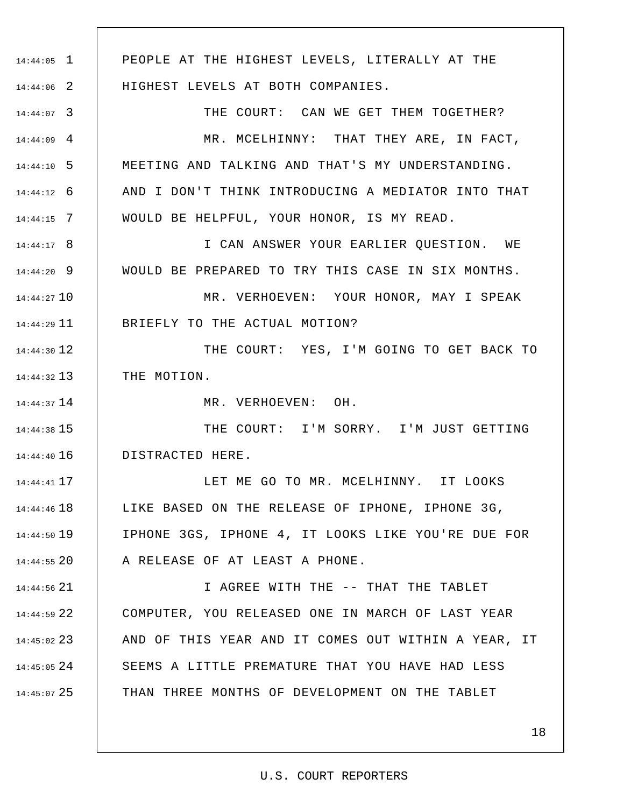1 14:44:05 2 14:44:06 3 14:44:07 4 14:44:09 5 14:44:10 6 14:44:12 7 14:44:15 8 14:44:17 9 14:44:20 10 14:44:27 11 14:44:29 12 14:44:30 13 14:44:32 14 14:44:37 15 14:44:38 16 14:44:40 17 14:44:41 18 14:44:46 19 14:44:50 20 14:44:55 21 14:44:56 22 14:44:59 23 14:45:02 24 14:45:05 25 14:45:07 PEOPLE AT THE HIGHEST LEVELS, LITERALLY AT THE HIGHEST LEVELS AT BOTH COMPANIES. THE COURT: CAN WE GET THEM TOGETHER? MR. MCELHINNY: THAT THEY ARE, IN FACT, MEETING AND TALKING AND THAT'S MY UNDERSTANDING. AND I DON'T THINK INTRODUCING A MEDIATOR INTO THAT WOULD BE HELPFUL, YOUR HONOR, IS MY READ. I CAN ANSWER YOUR EARLIER QUESTION. WE WOULD BE PREPARED TO TRY THIS CASE IN SIX MONTHS. MR. VERHOEVEN: YOUR HONOR, MAY I SPEAK BRIEFLY TO THE ACTUAL MOTION? THE COURT: YES, I'M GOING TO GET BACK TO THE MOTION. MR. VERHOEVEN: OH. THE COURT: I'M SORRY. I'M JUST GETTING DISTRACTED HERE. LET ME GO TO MR. MCELHINNY. IT LOOKS LIKE BASED ON THE RELEASE OF IPHONE, IPHONE 3G, IPHONE 3GS, IPHONE 4, IT LOOKS LIKE YOU'RE DUE FOR A RELEASE OF AT LEAST A PHONE. I AGREE WITH THE -- THAT THE TABLET COMPUTER, YOU RELEASED ONE IN MARCH OF LAST YEAR AND OF THIS YEAR AND IT COMES OUT WITHIN A YEAR, IT SEEMS A LITTLE PREMATURE THAT YOU HAVE HAD LESS THAN THREE MONTHS OF DEVELOPMENT ON THE TABLET

#### U.S. COURT REPORTERS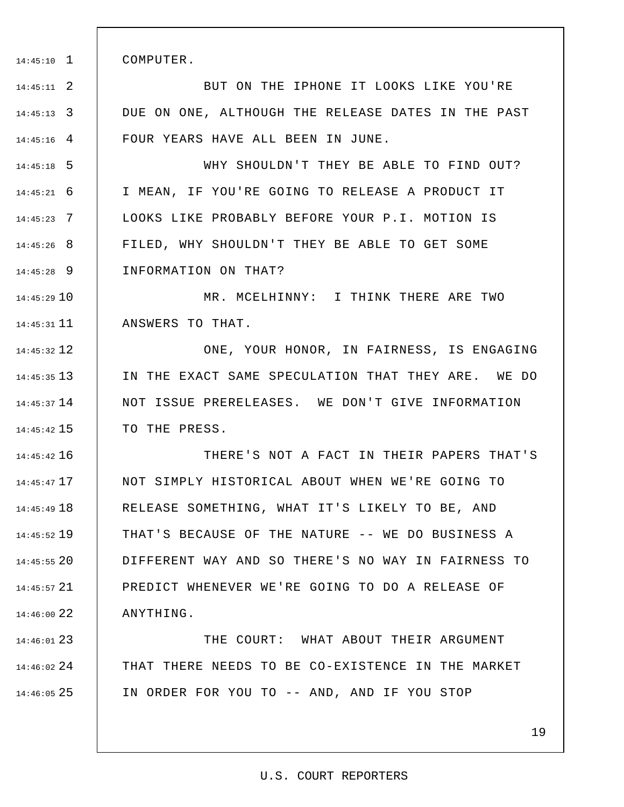1 14:45:10 COMPUTER.

2 14:45:11 3 14:45:13 4 14:45:16 BUT ON THE IPHONE IT LOOKS LIKE YOU'RE DUE ON ONE, ALTHOUGH THE RELEASE DATES IN THE PAST FOUR YEARS HAVE ALL BEEN IN JUNE.

5 14:45:18 6 14:45:21 7 14:45:23 8 14:45:26 9 14:45:28 WHY SHOULDN'T THEY BE ABLE TO FIND OUT? I MEAN, IF YOU'RE GOING TO RELEASE A PRODUCT IT LOOKS LIKE PROBABLY BEFORE YOUR P.I. MOTION IS FILED, WHY SHOULDN'T THEY BE ABLE TO GET SOME INFORMATION ON THAT?

10 14:45:29 11 14:45:31 MR. MCELHINNY: I THINK THERE ARE TWO ANSWERS TO THAT.

12 14:45:32 13 14:45:35 14 14:45:37 15 14:45:42 ONE, YOUR HONOR, IN FAIRNESS, IS ENGAGING IN THE EXACT SAME SPECULATION THAT THEY ARE. WE DO NOT ISSUE PRERELEASES. WE DON'T GIVE INFORMATION TO THE PRESS.

16 14:45:42 17 14:45:47 18 14:45:49 19 14:45:52 20 14:45:55 21 14:45:57 22 14:46:00 THERE'S NOT A FACT IN THEIR PAPERS THAT'S NOT SIMPLY HISTORICAL ABOUT WHEN WE'RE GOING TO RELEASE SOMETHING, WHAT IT'S LIKELY TO BE, AND THAT'S BECAUSE OF THE NATURE -- WE DO BUSINESS A DIFFERENT WAY AND SO THERE'S NO WAY IN FAIRNESS TO PREDICT WHENEVER WE'RE GOING TO DO A RELEASE OF ANYTHING.

23 14:46:01 24 14:46:02 25 14:46:05 THE COURT: WHAT ABOUT THEIR ARGUMENT THAT THERE NEEDS TO BE CO-EXISTENCE IN THE MARKET IN ORDER FOR YOU TO -- AND, AND IF YOU STOP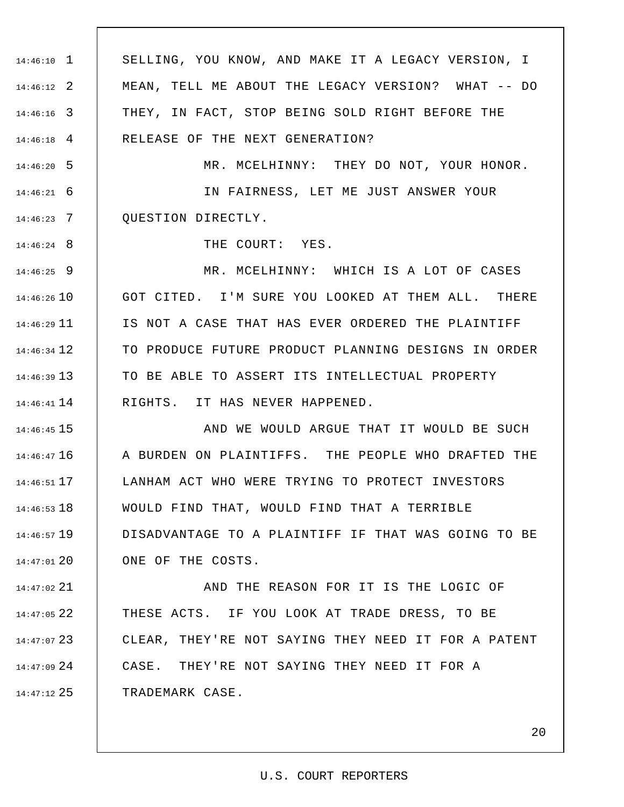1 14:46:10 2 14:46:12 3 14:46:16 4 14:46:18 5 14:46:20 6 14:46:21 7 14:46:23 8 14:46:24 9 14:46:25 14:46:26 10 11 14:46:29 12 14:46:34 13 14:46:39 14 14:46:41 15 14:46:45 16 14:46:47 17 14:46:51 18 14:46:53 19 14:46:57 20 14:47:01 21 14:47:02 22 14:47:05 23 14:47:07 24 14:47:09 25 14:47:12 SELLING, YOU KNOW, AND MAKE IT A LEGACY VERSION, I MEAN, TELL ME ABOUT THE LEGACY VERSION? WHAT -- DO THEY, IN FACT, STOP BEING SOLD RIGHT BEFORE THE RELEASE OF THE NEXT GENERATION? MR. MCELHINNY: THEY DO NOT, YOUR HONOR. IN FAIRNESS, LET ME JUST ANSWER YOUR QUESTION DIRECTLY. THE COURT: YES. MR. MCELHINNY: WHICH IS A LOT OF CASES GOT CITED. I'M SURE YOU LOOKED AT THEM ALL. THERE IS NOT A CASE THAT HAS EVER ORDERED THE PLAINTIFF TO PRODUCE FUTURE PRODUCT PLANNING DESIGNS IN ORDER TO BE ABLE TO ASSERT ITS INTELLECTUAL PROPERTY RIGHTS. IT HAS NEVER HAPPENED. AND WE WOULD ARGUE THAT IT WOULD BE SUCH A BURDEN ON PLAINTIFFS. THE PEOPLE WHO DRAFTED THE LANHAM ACT WHO WERE TRYING TO PROTECT INVESTORS WOULD FIND THAT, WOULD FIND THAT A TERRIBLE DISADVANTAGE TO A PLAINTIFF IF THAT WAS GOING TO BE ONE OF THE COSTS. AND THE REASON FOR IT IS THE LOGIC OF THESE ACTS. IF YOU LOOK AT TRADE DRESS, TO BE CLEAR, THEY'RE NOT SAYING THEY NEED IT FOR A PATENT CASE. THEY'RE NOT SAYING THEY NEED IT FOR A TRADEMARK CASE.

#### U.S. COURT REPORTERS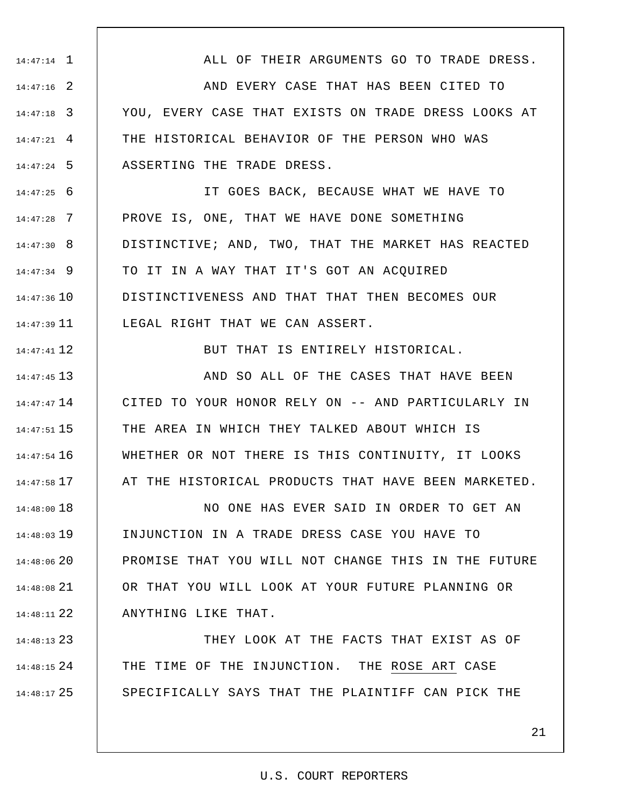1 14:47:14 2 14:47:16 3 14:47:18 4 14:47:21 5 14:47:24 6 14:47:25 7 14:47:28 8 14:47:30 9 14:47:34 14:47:36 10 11 14:47:39 12 14:47:41 13 14:47:45 14 14:47:47 15 14:47:51 16 14:47:54 17 14:47:58 18 14:48:00 19 14:48:03 14:48:06 20 21 14:48:08 22 14:48:11 23 14:48:13 ALL OF THEIR ARGUMENTS GO TO TRADE DRESS. AND EVERY CASE THAT HAS BEEN CITED TO YOU, EVERY CASE THAT EXISTS ON TRADE DRESS LOOKS AT THE HISTORICAL BEHAVIOR OF THE PERSON WHO WAS ASSERTING THE TRADE DRESS. IT GOES BACK, BECAUSE WHAT WE HAVE TO PROVE IS, ONE, THAT WE HAVE DONE SOMETHING DISTINCTIVE; AND, TWO, THAT THE MARKET HAS REACTED TO IT IN A WAY THAT IT'S GOT AN ACQUIRED DISTINCTIVENESS AND THAT THAT THEN BECOMES OUR LEGAL RIGHT THAT WE CAN ASSERT. BUT THAT IS ENTIRELY HISTORICAL. AND SO ALL OF THE CASES THAT HAVE BEEN CITED TO YOUR HONOR RELY ON -- AND PARTICULARLY IN THE AREA IN WHICH THEY TALKED ABOUT WHICH IS WHETHER OR NOT THERE IS THIS CONTINUITY, IT LOOKS AT THE HISTORICAL PRODUCTS THAT HAVE BEEN MARKETED. NO ONE HAS EVER SAID IN ORDER TO GET AN INJUNCTION IN A TRADE DRESS CASE YOU HAVE TO PROMISE THAT YOU WILL NOT CHANGE THIS IN THE FUTURE OR THAT YOU WILL LOOK AT YOUR FUTURE PLANNING OR ANYTHING LIKE THAT. THEY LOOK AT THE FACTS THAT EXIST AS OF

24 14:48:15 25 14:48:17 THE TIME OF THE INJUNCTION. THE ROSE ART CASE SPECIFICALLY SAYS THAT THE PLAINTIFF CAN PICK THE

## 21

#### U.S. COURT REPORTERS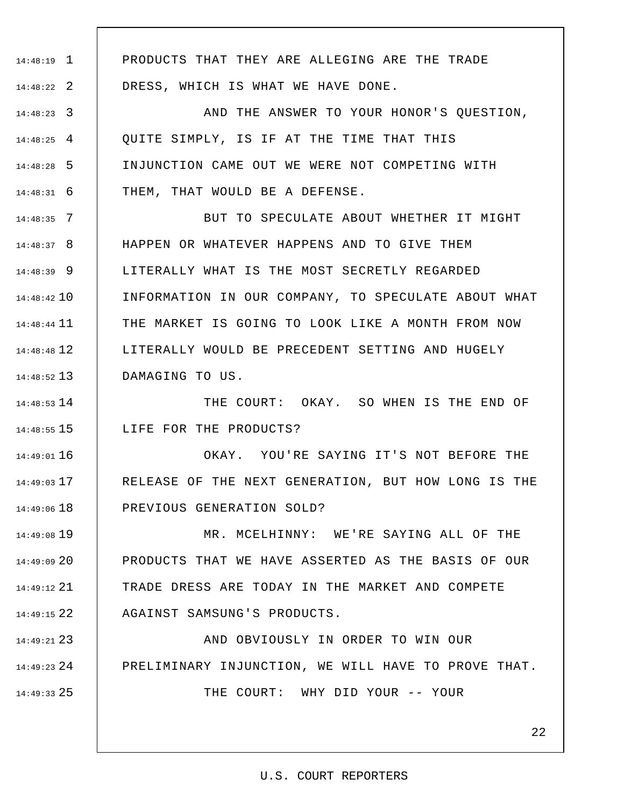1 14:48:19

2 14:48:22

PRODUCTS THAT THEY ARE ALLEGING ARE THE TRADE DRESS, WHICH IS WHAT WE HAVE DONE.

3 14:48:23 4 14:48:25 5 14:48:28 6 14:48:31 AND THE ANSWER TO YOUR HONOR'S QUESTION, QUITE SIMPLY, IS IF AT THE TIME THAT THIS INJUNCTION CAME OUT WE WERE NOT COMPETING WITH THEM, THAT WOULD BE A DEFENSE.

7 14:48:35 8 14:48:37 9 14:48:39 10 14:48:42 11 14:48:44 12 14:48:48 13 14:48:52 BUT TO SPECULATE ABOUT WHETHER IT MIGHT HAPPEN OR WHATEVER HAPPENS AND TO GIVE THEM LITERALLY WHAT IS THE MOST SECRETLY REGARDED INFORMATION IN OUR COMPANY, TO SPECULATE ABOUT WHAT THE MARKET IS GOING TO LOOK LIKE A MONTH FROM NOW LITERALLY WOULD BE PRECEDENT SETTING AND HUGELY DAMAGING TO US.

14 14:48:53 15 14:48:55 THE COURT: OKAY. SO WHEN IS THE END OF LIFE FOR THE PRODUCTS?

16 14:49:01 17 14:49:03 18 14:49:06 OKAY. YOU'RE SAYING IT'S NOT BEFORE THE RELEASE OF THE NEXT GENERATION, BUT HOW LONG IS THE PREVIOUS GENERATION SOLD?

19 14:49:08 20 14:49:09 21 14:49:12 22 14:49:15 MR. MCELHINNY: WE'RE SAYING ALL OF THE PRODUCTS THAT WE HAVE ASSERTED AS THE BASIS OF OUR TRADE DRESS ARE TODAY IN THE MARKET AND COMPETE AGAINST SAMSUNG'S PRODUCTS.

23 14:49:21 24 14:49:23 25 14:49:33 AND OBVIOUSLY IN ORDER TO WIN OUR PRELIMINARY INJUNCTION, WE WILL HAVE TO PROVE THAT. THE COURT: WHY DID YOUR -- YOUR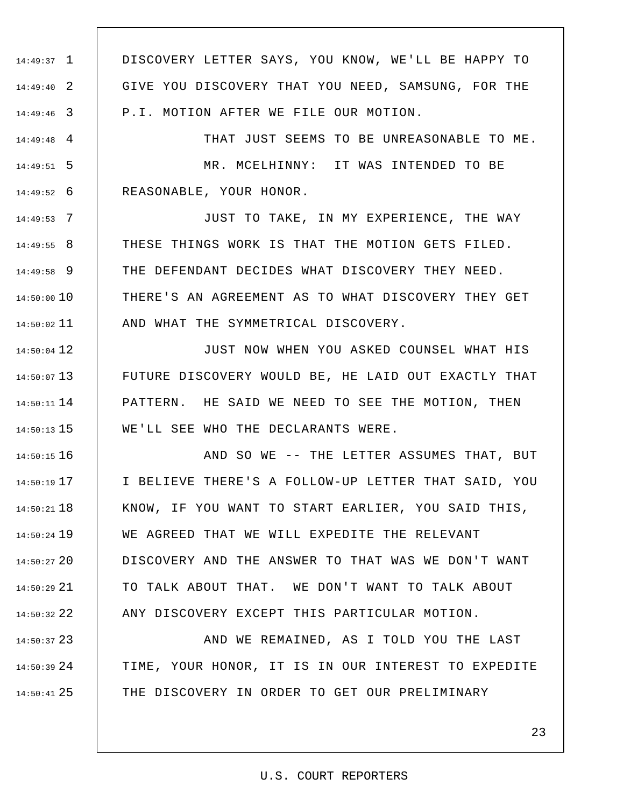1 14:49:37 2 14:49:40 3 14:49:46 DISCOVERY LETTER SAYS, YOU KNOW, WE'LL BE HAPPY TO GIVE YOU DISCOVERY THAT YOU NEED, SAMSUNG, FOR THE P.I. MOTION AFTER WE FILE OUR MOTION.

4 14:49:48 5 14:49:51 6 14:49:52 THAT JUST SEEMS TO BE UNREASONABLE TO ME. MR. MCELHINNY: IT WAS INTENDED TO BE REASONABLE, YOUR HONOR.

7 14:49:53 8 14:49:55 9 14:49:58 14:50:00 10 11 14:50:02 JUST TO TAKE, IN MY EXPERIENCE, THE WAY THESE THINGS WORK IS THAT THE MOTION GETS FILED. THE DEFENDANT DECIDES WHAT DISCOVERY THEY NEED. THERE'S AN AGREEMENT AS TO WHAT DISCOVERY THEY GET AND WHAT THE SYMMETRICAL DISCOVERY.

12 14:50:04 13 14:50:07 14 14:50:11 15 14:50:13 JUST NOW WHEN YOU ASKED COUNSEL WHAT HIS FUTURE DISCOVERY WOULD BE, HE LAID OUT EXACTLY THAT PATTERN. HE SAID WE NEED TO SEE THE MOTION, THEN WE'LL SEE WHO THE DECLARANTS WERE.

16 14:50:15 17 14:50:19 18 14:50:21 19 14:50:24 20 14:50:27 21 14:50:29 22 14:50:32 AND SO WE -- THE LETTER ASSUMES THAT, BUT I BELIEVE THERE'S A FOLLOW-UP LETTER THAT SAID, YOU KNOW, IF YOU WANT TO START EARLIER, YOU SAID THIS, WE AGREED THAT WE WILL EXPEDITE THE RELEVANT DISCOVERY AND THE ANSWER TO THAT WAS WE DON'T WANT TO TALK ABOUT THAT. WE DON'T WANT TO TALK ABOUT ANY DISCOVERY EXCEPT THIS PARTICULAR MOTION.

23 14:50:37 24 14:50:39 25 14:50:41 AND WE REMAINED, AS I TOLD YOU THE LAST TIME, YOUR HONOR, IT IS IN OUR INTEREST TO EXPEDITE THE DISCOVERY IN ORDER TO GET OUR PRELIMINARY

U.S. COURT REPORTERS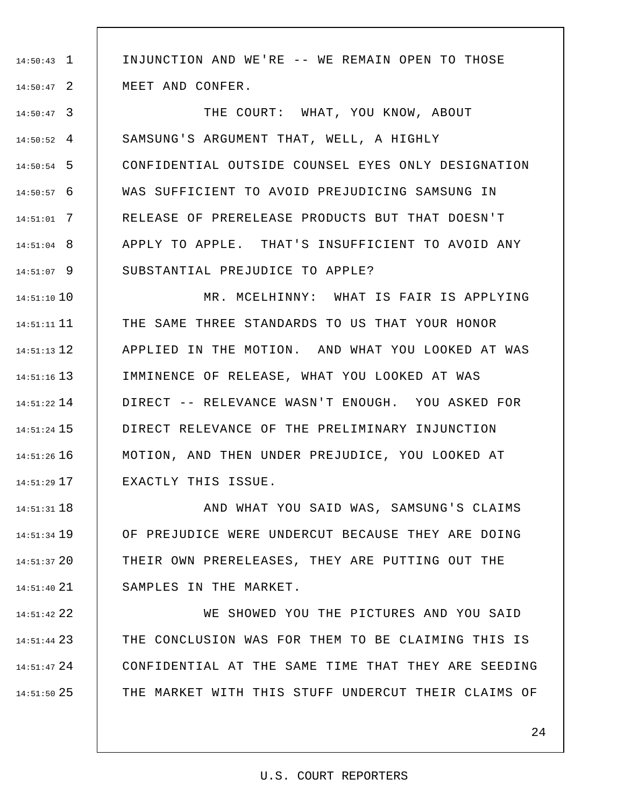1 14:50:43 2 14:50:47 INJUNCTION AND WE'RE -- WE REMAIN OPEN TO THOSE MEET AND CONFER.

3 14:50:47 4 14:50:52 5 14:50:54 6 14:50:57 7 14:51:01 8 14:51:04 9 14:51:07 THE COURT: WHAT, YOU KNOW, ABOUT SAMSUNG'S ARGUMENT THAT, WELL, A HIGHLY CONFIDENTIAL OUTSIDE COUNSEL EYES ONLY DESIGNATION WAS SUFFICIENT TO AVOID PREJUDICING SAMSUNG IN RELEASE OF PRERELEASE PRODUCTS BUT THAT DOESN'T APPLY TO APPLE. THAT'S INSUFFICIENT TO AVOID ANY SUBSTANTIAL PREJUDICE TO APPLE?

10 14:51:10 11 14:51:11 12 14:51:13 13 14:51:16 14 14:51:22 15 14:51:24 16 14:51:26 17 14:51:29 MR. MCELHINNY: WHAT IS FAIR IS APPLYING THE SAME THREE STANDARDS TO US THAT YOUR HONOR APPLIED IN THE MOTION. AND WHAT YOU LOOKED AT WAS IMMINENCE OF RELEASE, WHAT YOU LOOKED AT WAS DIRECT -- RELEVANCE WASN'T ENOUGH. YOU ASKED FOR DIRECT RELEVANCE OF THE PRELIMINARY INJUNCTION MOTION, AND THEN UNDER PREJUDICE, YOU LOOKED AT EXACTLY THIS ISSUE.

18 14:51:31 19 14:51:34 20 14:51:37 21 14:51:40 AND WHAT YOU SAID WAS, SAMSUNG'S CLAIMS OF PREJUDICE WERE UNDERCUT BECAUSE THEY ARE DOING THEIR OWN PRERELEASES, THEY ARE PUTTING OUT THE SAMPLES IN THE MARKET.

22 14:51:42 23 14:51:44 24 14:51:47 25 14:51:50 WE SHOWED YOU THE PICTURES AND YOU SAID THE CONCLUSION WAS FOR THEM TO BE CLAIMING THIS IS CONFIDENTIAL AT THE SAME TIME THAT THEY ARE SEEDING THE MARKET WITH THIS STUFF UNDERCUT THEIR CLAIMS OF

 $2.4$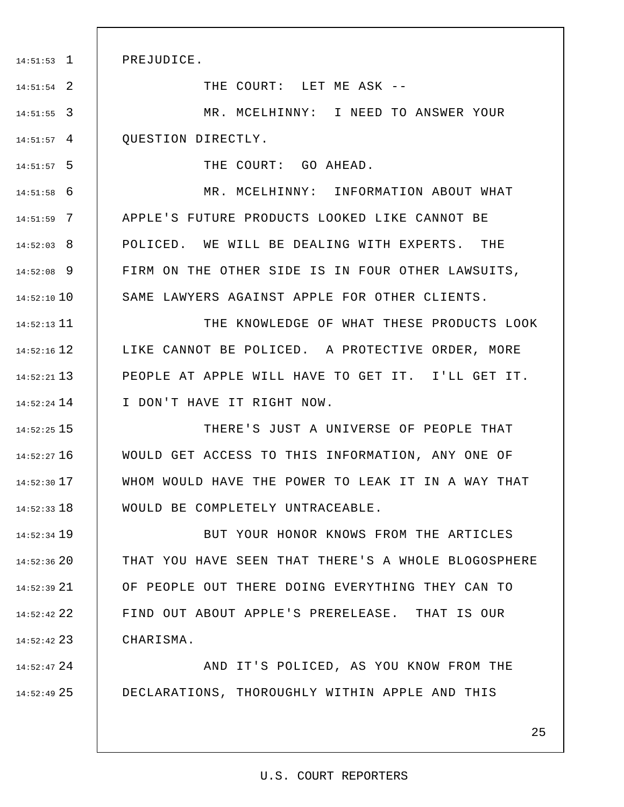PREJUDICE.

1 14:51:53

2 14:51:54

5 14:51:57

THE COURT: LET ME ASK --

3 14:51:55 4 14:51:57 MR. MCELHINNY: I NEED TO ANSWER YOUR QUESTION DIRECTLY.

THE COURT: GO AHEAD.

6 14:51:58 7 14:51:59 8 14:52:03 9 14:52:08 14:52:10 10 MR. MCELHINNY: INFORMATION ABOUT WHAT APPLE'S FUTURE PRODUCTS LOOKED LIKE CANNOT BE POLICED. WE WILL BE DEALING WITH EXPERTS. THE FIRM ON THE OTHER SIDE IS IN FOUR OTHER LAWSUITS, SAME LAWYERS AGAINST APPLE FOR OTHER CLIENTS.

11 14:52:13 12 14:52:16 13 14:52:21 14 14:52:24 THE KNOWLEDGE OF WHAT THESE PRODUCTS LOOK LIKE CANNOT BE POLICED. A PROTECTIVE ORDER, MORE PEOPLE AT APPLE WILL HAVE TO GET IT. I'LL GET IT. I DON'T HAVE IT RIGHT NOW.

15 14:52:25 16 14:52:27 17 14:52:30 18 14:52:33 THERE'S JUST A UNIVERSE OF PEOPLE THAT WOULD GET ACCESS TO THIS INFORMATION, ANY ONE OF WHOM WOULD HAVE THE POWER TO LEAK IT IN A WAY THAT WOULD BE COMPLETELY UNTRACEABLE.

19 14:52:34 20 14:52:36 21 14:52:39 22 14:52:42 23 14:52:42 BUT YOUR HONOR KNOWS FROM THE ARTICLES THAT YOU HAVE SEEN THAT THERE'S A WHOLE BLOGOSPHERE OF PEOPLE OUT THERE DOING EVERYTHING THEY CAN TO FIND OUT ABOUT APPLE'S PRERELEASE. THAT IS OUR CHARISMA.

24 14:52:47 25 14:52:49 AND IT'S POLICED, AS YOU KNOW FROM THE DECLARATIONS, THOROUGHLY WITHIN APPLE AND THIS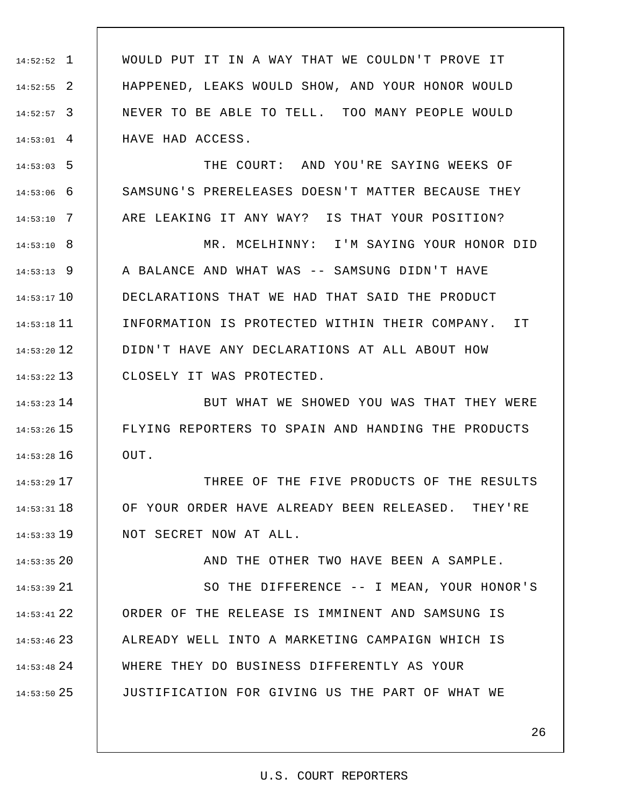1 14:52:52 2 14:52:55 3 14:52:57 4 14:53:01 WOULD PUT IT IN A WAY THAT WE COULDN'T PROVE IT HAPPENED, LEAKS WOULD SHOW, AND YOUR HONOR WOULD NEVER TO BE ABLE TO TELL. TOO MANY PEOPLE WOULD HAVE HAD ACCESS.

5 14:53:03

6 14:53:06

7 14:53:10

THE COURT: AND YOU'RE SAYING WEEKS OF SAMSUNG'S PRERELEASES DOESN'T MATTER BECAUSE THEY ARE LEAKING IT ANY WAY? IS THAT YOUR POSITION?

8 14:53:10 9 14:53:13 10 14:53:17 11 14:53:18 12 14:53:20 13 14:53:22 MR. MCELHINNY: I'M SAYING YOUR HONOR DID A BALANCE AND WHAT WAS -- SAMSUNG DIDN'T HAVE DECLARATIONS THAT WE HAD THAT SAID THE PRODUCT INFORMATION IS PROTECTED WITHIN THEIR COMPANY. IT DIDN'T HAVE ANY DECLARATIONS AT ALL ABOUT HOW CLOSELY IT WAS PROTECTED.

14 14:53:23 15 14:53:26 16 14:53:28 BUT WHAT WE SHOWED YOU WAS THAT THEY WERE FLYING REPORTERS TO SPAIN AND HANDING THE PRODUCTS OUT.

17 14:53:29 18 14:53:31 19 14:53:33 THREE OF THE FIVE PRODUCTS OF THE RESULTS OF YOUR ORDER HAVE ALREADY BEEN RELEASED. THEY'RE NOT SECRET NOW AT ALL.

20 14:53:35 21 14:53:39 22 14:53:41 23 14:53:46 24 14:53:48 25 14:53:50 AND THE OTHER TWO HAVE BEEN A SAMPLE. SO THE DIFFERENCE -- I MEAN, YOUR HONOR'S ORDER OF THE RELEASE IS IMMINENT AND SAMSUNG IS ALREADY WELL INTO A MARKETING CAMPAIGN WHICH IS WHERE THEY DO BUSINESS DIFFERENTLY AS YOUR JUSTIFICATION FOR GIVING US THE PART OF WHAT WE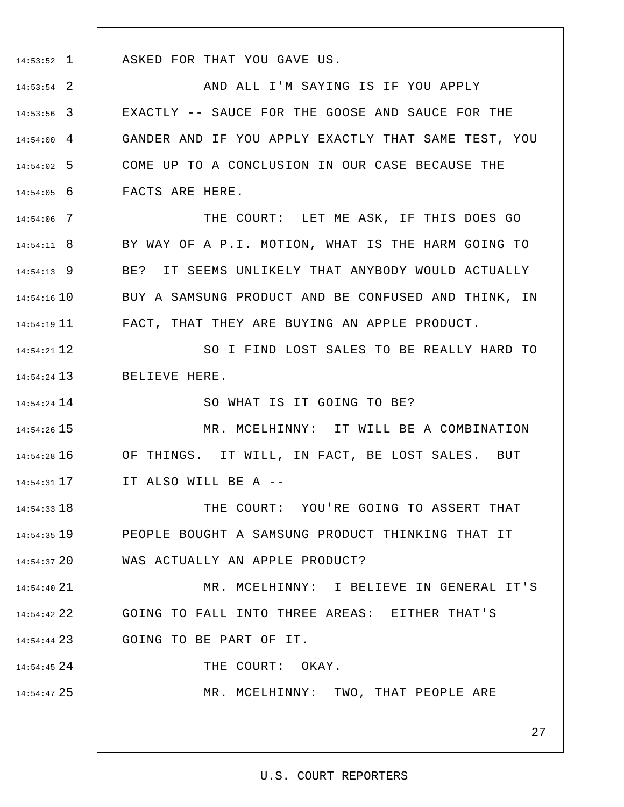1 14:53:52

14 14:54:24

24 14:54:45

25 14:54:47

ASKED FOR THAT YOU GAVE US.

2 14:53:54 3 14:53:56 4 14:54:00 5 14:54:02 6 14:54:05 AND ALL I'M SAYING IS IF YOU APPLY EXACTLY -- SAUCE FOR THE GOOSE AND SAUCE FOR THE GANDER AND IF YOU APPLY EXACTLY THAT SAME TEST, YOU COME UP TO A CONCLUSION IN OUR CASE BECAUSE THE FACTS ARE HERE.

7 14:54:06 8 14:54:11 9 14:54:13 10 14:54:16 11 14:54:19 THE COURT: LET ME ASK, IF THIS DOES GO BY WAY OF A P.I. MOTION, WHAT IS THE HARM GOING TO BE? IT SEEMS UNLIKELY THAT ANYBODY WOULD ACTUALLY BUY A SAMSUNG PRODUCT AND BE CONFUSED AND THINK, IN FACT, THAT THEY ARE BUYING AN APPLE PRODUCT.

12 14:54:21 13 14:54:24 SO I FIND LOST SALES TO BE REALLY HARD TO BELIEVE HERE.

SO WHAT IS IT GOING TO BE?

15 14:54:26 16 14:54:28 17 14:54:31 MR. MCELHINNY: IT WILL BE A COMBINATION OF THINGS. IT WILL, IN FACT, BE LOST SALES. BUT IT ALSO WILL BE A --

18 14:54:33 19 14:54:35 20 14:54:37 THE COURT: YOU'RE GOING TO ASSERT THAT PEOPLE BOUGHT A SAMSUNG PRODUCT THINKING THAT IT WAS ACTUALLY AN APPLE PRODUCT?

21 14:54:40 22 14:54:42 23 14:54:44 MR. MCELHINNY: I BELIEVE IN GENERAL IT'S GOING TO FALL INTO THREE AREAS: EITHER THAT'S GOING TO BE PART OF IT.

THE COURT: OKAY.

MR. MCELHINNY: TWO, THAT PEOPLE ARE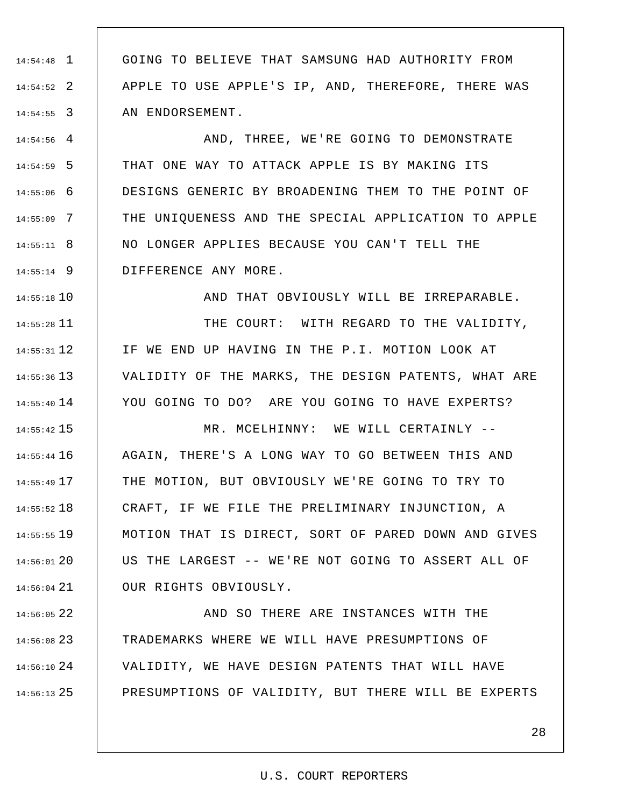1 14:54:48 2 14:54:52 3 14:54:55 GOING TO BELIEVE THAT SAMSUNG HAD AUTHORITY FROM APPLE TO USE APPLE'S IP, AND, THEREFORE, THERE WAS AN ENDORSEMENT.

4 14:54:56 5 14:54:59 6 14:55:06 7 14:55:09 8 14:55:11 9 14:55:14 AND, THREE, WE'RE GOING TO DEMONSTRATE THAT ONE WAY TO ATTACK APPLE IS BY MAKING ITS DESIGNS GENERIC BY BROADENING THEM TO THE POINT OF THE UNIQUENESS AND THE SPECIAL APPLICATION TO APPLE NO LONGER APPLIES BECAUSE YOU CAN'T TELL THE DIFFERENCE ANY MORE.

10 14:55:18

AND THAT OBVIOUSLY WILL BE IRREPARABLE.

11 14:55:28 12 14:55:31 13 14:55:36 14 14:55:40 THE COURT: WITH REGARD TO THE VALIDITY, IF WE END UP HAVING IN THE P.I. MOTION LOOK AT VALIDITY OF THE MARKS, THE DESIGN PATENTS, WHAT ARE YOU GOING TO DO? ARE YOU GOING TO HAVE EXPERTS?

15 14:55:42 16 14:55:44 17 14:55:49 18 14:55:52 19 14:55:55 20 14:56:01 21 14:56:04 MR. MCELHINNY: WE WILL CERTAINLY -- AGAIN, THERE'S A LONG WAY TO GO BETWEEN THIS AND THE MOTION, BUT OBVIOUSLY WE'RE GOING TO TRY TO CRAFT, IF WE FILE THE PRELIMINARY INJUNCTION, A MOTION THAT IS DIRECT, SORT OF PARED DOWN AND GIVES US THE LARGEST -- WE'RE NOT GOING TO ASSERT ALL OF OUR RIGHTS OBVIOUSLY.

22 14:56:05 23 14:56:08 24 14:56:10 25 14:56:13 AND SO THERE ARE INSTANCES WITH THE TRADEMARKS WHERE WE WILL HAVE PRESUMPTIONS OF VALIDITY, WE HAVE DESIGN PATENTS THAT WILL HAVE PRESUMPTIONS OF VALIDITY, BUT THERE WILL BE EXPERTS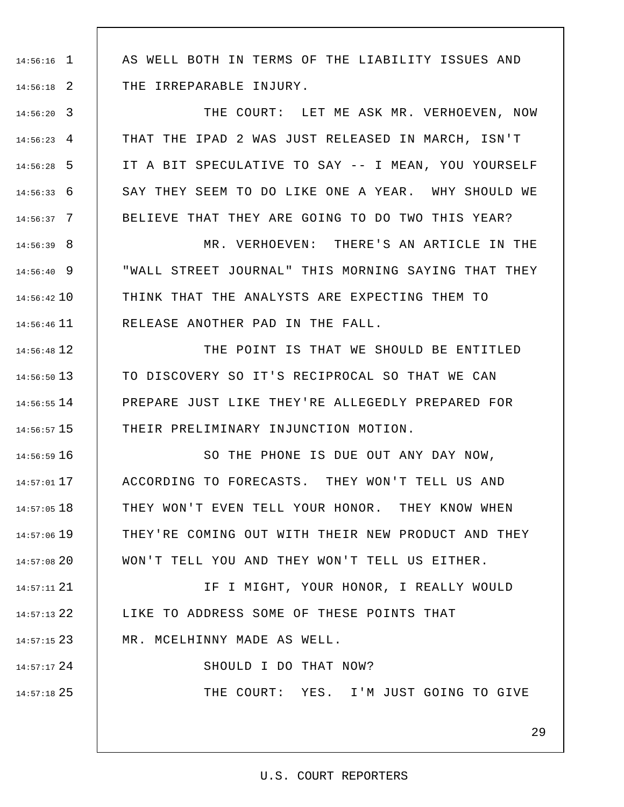1 14:56:16

2 14:56:18

24 14:57:17

25 14:57:18

AS WELL BOTH IN TERMS OF THE LIABILITY ISSUES AND THE IRREPARABLE INJURY.

3 14:56:20 4 14:56:23 5 14:56:28 6 14:56:33 7 14:56:37 THE COURT: LET ME ASK MR. VERHOEVEN, NOW THAT THE IPAD 2 WAS JUST RELEASED IN MARCH, ISN'T IT A BIT SPECULATIVE TO SAY -- I MEAN, YOU YOURSELF SAY THEY SEEM TO DO LIKE ONE A YEAR. WHY SHOULD WE BELIEVE THAT THEY ARE GOING TO DO TWO THIS YEAR?

8 14:56:39 9 14:56:40 10 14:56:42 11 14:56:46 MR. VERHOEVEN: THERE'S AN ARTICLE IN THE "WALL STREET JOURNAL" THIS MORNING SAYING THAT THEY THINK THAT THE ANALYSTS ARE EXPECTING THEM TO RELEASE ANOTHER PAD IN THE FALL.

12 14:56:48 13 14:56:50 14 14:56:55 15 14:56:57 THE POINT IS THAT WE SHOULD BE ENTITLED TO DISCOVERY SO IT'S RECIPROCAL SO THAT WE CAN PREPARE JUST LIKE THEY'RE ALLEGEDLY PREPARED FOR THEIR PRELIMINARY INJUNCTION MOTION.

16 14:56:59 17 14:57:01 18 14:57:05 19 14:57:06 14:57:08 20 SO THE PHONE IS DUE OUT ANY DAY NOW, ACCORDING TO FORECASTS. THEY WON'T TELL US AND THEY WON'T EVEN TELL YOUR HONOR. THEY KNOW WHEN THEY'RE COMING OUT WITH THEIR NEW PRODUCT AND THEY WON'T TELL YOU AND THEY WON'T TELL US EITHER.

21 14:57:11 22 14:57:13 23 14:57:15 IF I MIGHT, YOUR HONOR, I REALLY WOULD LIKE TO ADDRESS SOME OF THESE POINTS THAT MR. MCELHINNY MADE AS WELL.

SHOULD I DO THAT NOW?

THE COURT: YES. I'M JUST GOING TO GIVE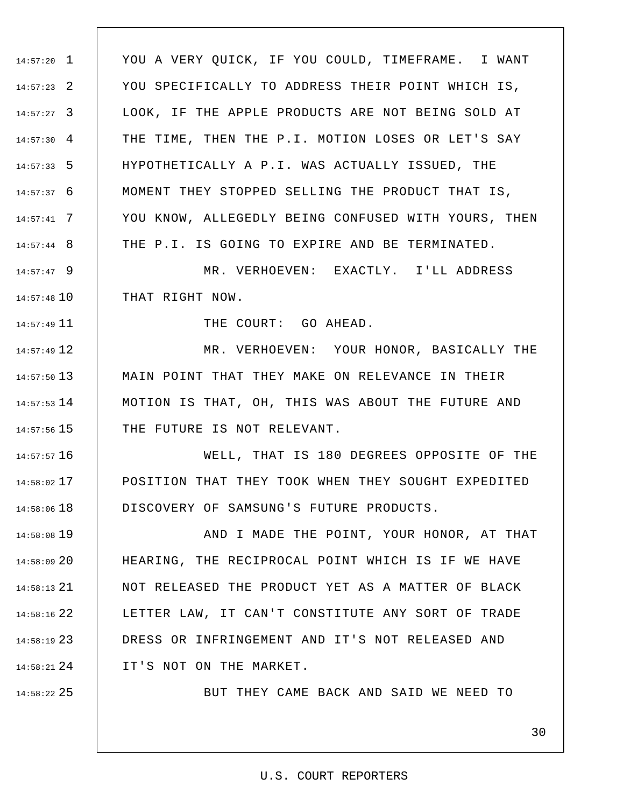1 14:57:20 2 14:57:23 3 14:57:27  $14:57:30 \quad 4$ 5 14:57:33 6 14:57:37 7 14:57:41 8 14:57:44 YOU A VERY QUICK, IF YOU COULD, TIMEFRAME. I WANT YOU SPECIFICALLY TO ADDRESS THEIR POINT WHICH IS, LOOK, IF THE APPLE PRODUCTS ARE NOT BEING SOLD AT THE TIME, THEN THE P.I. MOTION LOSES OR LET'S SAY HYPOTHETICALLY A P.I. WAS ACTUALLY ISSUED, THE MOMENT THEY STOPPED SELLING THE PRODUCT THAT IS, YOU KNOW, ALLEGEDLY BEING CONFUSED WITH YOURS, THEN THE P.I. IS GOING TO EXPIRE AND BE TERMINATED.

9 14:57:47 10 14:57:48 MR. VERHOEVEN: EXACTLY. I'LL ADDRESS THAT RIGHT NOW.

THE COURT: GO AHEAD.

12 14:57:49 13 14:57:50 14 14:57:53  $14:57:56$  15 MR. VERHOEVEN: YOUR HONOR, BASICALLY THE MAIN POINT THAT THEY MAKE ON RELEVANCE IN THEIR MOTION IS THAT, OH, THIS WAS ABOUT THE FUTURE AND THE FUTURE IS NOT RELEVANT.

16 14:57:57 17 14:58:02 18 14:58:06 WELL, THAT IS 180 DEGREES OPPOSITE OF THE POSITION THAT THEY TOOK WHEN THEY SOUGHT EXPEDITED DISCOVERY OF SAMSUNG'S FUTURE PRODUCTS.

19 14:58:08 20 14:58:09 21 14:58:13 22 14:58:16 23 14:58:19 24 14:58:21 AND I MADE THE POINT, YOUR HONOR, AT THAT HEARING, THE RECIPROCAL POINT WHICH IS IF WE HAVE NOT RELEASED THE PRODUCT YET AS A MATTER OF BLACK LETTER LAW, IT CAN'T CONSTITUTE ANY SORT OF TRADE DRESS OR INFRINGEMENT AND IT'S NOT RELEASED AND IT'S NOT ON THE MARKET.

25 14:58:22

11 14:57:49

BUT THEY CAME BACK AND SAID WE NEED TO

# U.S. COURT REPORTERS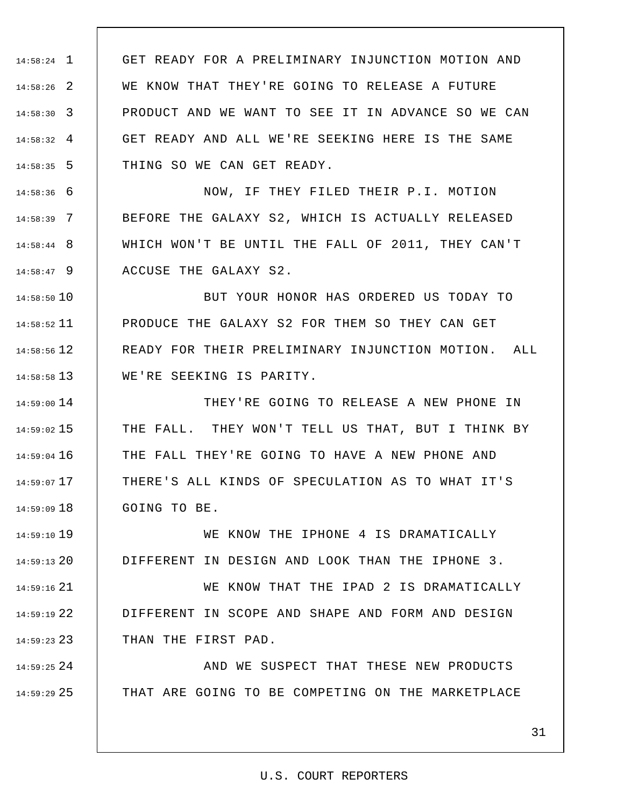1 14:58:24 2 14:58:26 3 14:58:30 4 14:58:32 5 14:58:35 GET READY FOR A PRELIMINARY INJUNCTION MOTION AND WE KNOW THAT THEY'RE GOING TO RELEASE A FUTURE PRODUCT AND WE WANT TO SEE IT IN ADVANCE SO WE CAN GET READY AND ALL WE'RE SEEKING HERE IS THE SAME THING SO WE CAN GET READY.

6 14:58:36 7 14:58:39 8 14:58:44 9 14:58:47 NOW, IF THEY FILED THEIR P.I. MOTION BEFORE THE GALAXY S2, WHICH IS ACTUALLY RELEASED WHICH WON'T BE UNTIL THE FALL OF 2011, THEY CAN'T ACCUSE THE GALAXY S2.

10 14:58:50 11 14:58:52 12 14:58:56 13 14:58:58 BUT YOUR HONOR HAS ORDERED US TODAY TO PRODUCE THE GALAXY S2 FOR THEM SO THEY CAN GET READY FOR THEIR PRELIMINARY INJUNCTION MOTION. ALL WE'RE SEEKING IS PARITY.

14 14:59:00 15 14:59:02 16 14:59:04 17 14:59:07 18 14:59:09 THEY'RE GOING TO RELEASE A NEW PHONE IN THE FALL. THEY WON'T TELL US THAT, BUT I THINK BY THE FALL THEY'RE GOING TO HAVE A NEW PHONE AND THERE'S ALL KINDS OF SPECULATION AS TO WHAT IT'S GOING TO BE.

19 14:59:10 20 14:59:13 WE KNOW THE IPHONE 4 IS DRAMATICALLY DIFFERENT IN DESIGN AND LOOK THAN THE IPHONE 3.

21 14:59:16 22 14:59:19 23 14:59:23 WE KNOW THAT THE IPAD 2 IS DRAMATICALLY DIFFERENT IN SCOPE AND SHAPE AND FORM AND DESIGN THAN THE FIRST PAD.

24 14:59:25 25 14:59:29 AND WE SUSPECT THAT THESE NEW PRODUCTS THAT ARE GOING TO BE COMPETING ON THE MARKETPLACE

#### U.S. COURT REPORTERS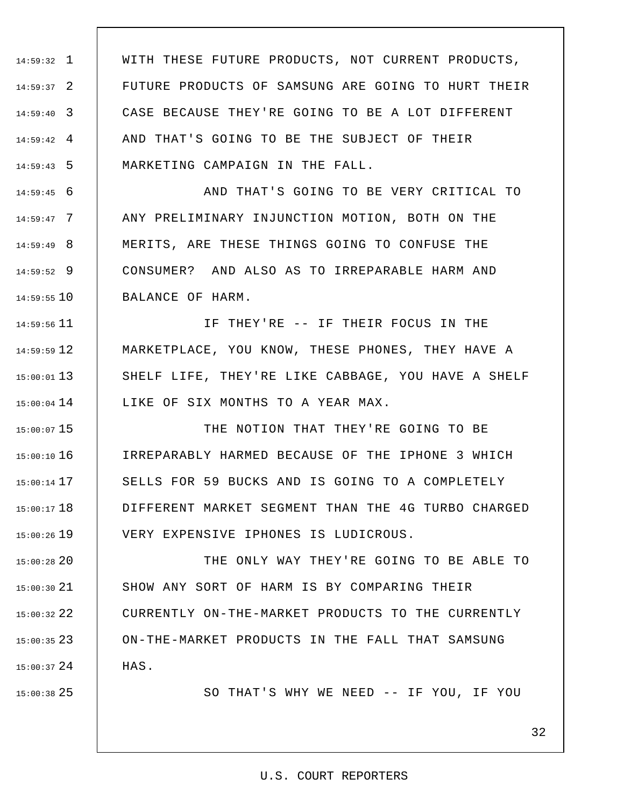1 14:59:32 2 14:59:37 3 14:59:40 4 14:59:42 5 14:59:43 WITH THESE FUTURE PRODUCTS, NOT CURRENT PRODUCTS, FUTURE PRODUCTS OF SAMSUNG ARE GOING TO HURT THEIR CASE BECAUSE THEY'RE GOING TO BE A LOT DIFFERENT AND THAT'S GOING TO BE THE SUBJECT OF THEIR MARKETING CAMPAIGN IN THE FALL.

6 14:59:45 7 14:59:47 8 14:59:49 9 14:59:52 10 14:59:55 AND THAT'S GOING TO BE VERY CRITICAL TO ANY PRELIMINARY INJUNCTION MOTION, BOTH ON THE MERITS, ARE THESE THINGS GOING TO CONFUSE THE CONSUMER? AND ALSO AS TO IRREPARABLE HARM AND BALANCE OF HARM.

11 14:59:56 12 14:59:59 13 15:00:01  $15:00:04$  14 IF THEY'RE -- IF THEIR FOCUS IN THE MARKETPLACE, YOU KNOW, THESE PHONES, THEY HAVE A SHELF LIFE, THEY'RE LIKE CABBAGE, YOU HAVE A SHELF LIKE OF SIX MONTHS TO A YEAR MAX.

15 15:00:07 16 15:00:10 17 15:00:14 18 15:00:17 19 15:00:26 THE NOTION THAT THEY'RE GOING TO BE IRREPARABLY HARMED BECAUSE OF THE IPHONE 3 WHICH SELLS FOR 59 BUCKS AND IS GOING TO A COMPLETELY DIFFERENT MARKET SEGMENT THAN THE 4G TURBO CHARGED VERY EXPENSIVE IPHONES IS LUDICROUS.

20 15:00:28 21 15:00:30 22 15:00:32 23 15:00:35 24 15:00:37 THE ONLY WAY THEY'RE GOING TO BE ABLE TO SHOW ANY SORT OF HARM IS BY COMPARING THEIR CURRENTLY ON-THE-MARKET PRODUCTS TO THE CURRENTLY ON-THE-MARKET PRODUCTS IN THE FALL THAT SAMSUNG HAS.

25 15:00:38

SO THAT'S WHY WE NEED -- IF YOU, IF YOU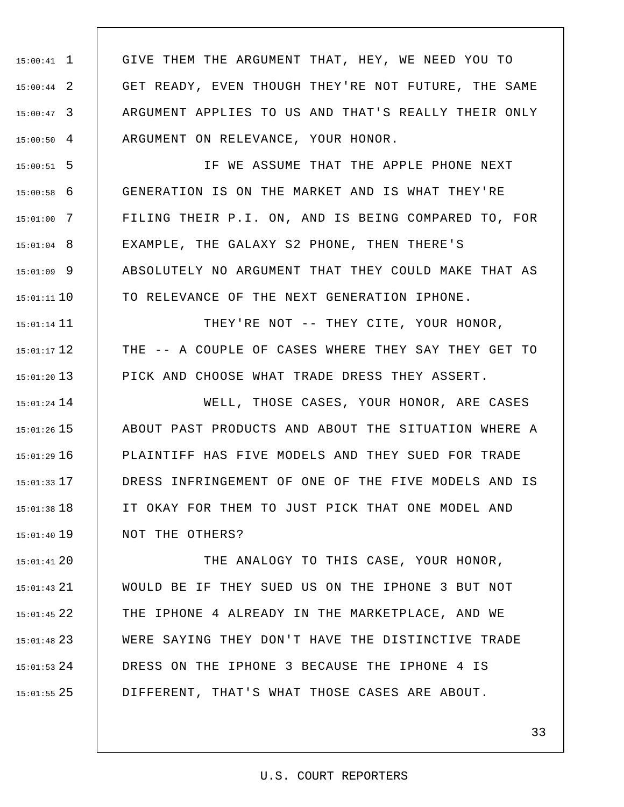1 15:00:41 2 15:00:44 3 15:00:47  $15:00:50$  4 GIVE THEM THE ARGUMENT THAT, HEY, WE NEED YOU TO GET READY, EVEN THOUGH THEY'RE NOT FUTURE, THE SAME ARGUMENT APPLIES TO US AND THAT'S REALLY THEIR ONLY ARGUMENT ON RELEVANCE, YOUR HONOR.

5 15:00:51 6 15:00:58 7 15:01:00 8 15:01:04 9 15:01:09 10 15:01:11 IF WE ASSUME THAT THE APPLE PHONE NEXT GENERATION IS ON THE MARKET AND IS WHAT THEY'RE FILING THEIR P.I. ON, AND IS BEING COMPARED TO, FOR EXAMPLE, THE GALAXY S2 PHONE, THEN THERE'S ABSOLUTELY NO ARGUMENT THAT THEY COULD MAKE THAT AS TO RELEVANCE OF THE NEXT GENERATION IPHONE.

15:01:14 11 12 15:01:17 13 15:01:20 THEY'RE NOT -- THEY CITE, YOUR HONOR, THE -- A COUPLE OF CASES WHERE THEY SAY THEY GET TO PICK AND CHOOSE WHAT TRADE DRESS THEY ASSERT.

14 15:01:24 15 15:01:26 16 15:01:29 17 15:01:33 18 15:01:38 19 15:01:40 WELL, THOSE CASES, YOUR HONOR, ARE CASES ABOUT PAST PRODUCTS AND ABOUT THE SITUATION WHERE A PLAINTIFF HAS FIVE MODELS AND THEY SUED FOR TRADE DRESS INFRINGEMENT OF ONE OF THE FIVE MODELS AND IS IT OKAY FOR THEM TO JUST PICK THAT ONE MODEL AND NOT THE OTHERS?

20 15:01:41 21 15:01:43 22 15:01:45 23 15:01:48 24 15:01:53 25 15:01:55 THE ANALOGY TO THIS CASE, YOUR HONOR, WOULD BE IF THEY SUED US ON THE IPHONE 3 BUT NOT THE IPHONE 4 ALREADY IN THE MARKETPLACE, AND WE WERE SAYING THEY DON'T HAVE THE DISTINCTIVE TRADE DRESS ON THE IPHONE 3 BECAUSE THE IPHONE 4 IS DIFFERENT, THAT'S WHAT THOSE CASES ARE ABOUT.

#### U.S. COURT REPORTERS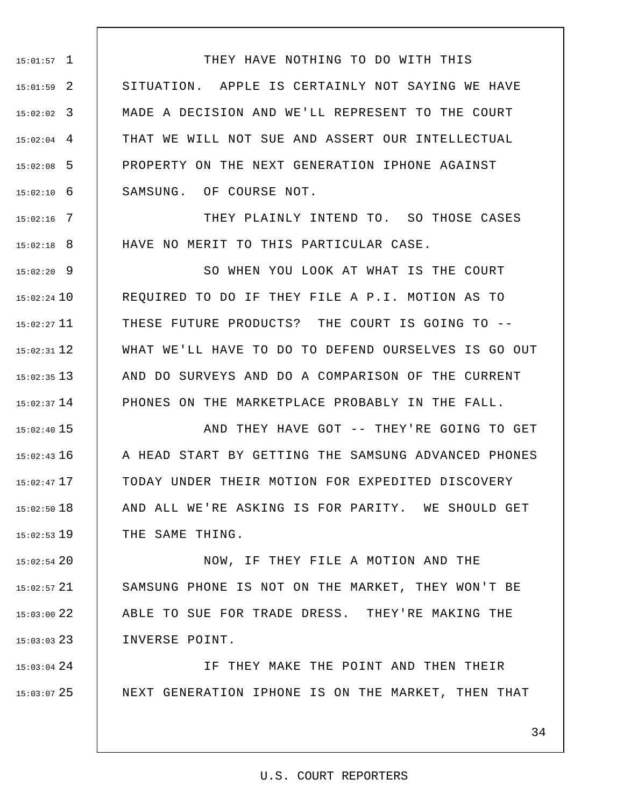1 15:01:57 2 15:01:59 3 15:02:02 4 15:02:04 5 15:02:08 6 15:02:10 THEY HAVE NOTHING TO DO WITH THIS SITUATION. APPLE IS CERTAINLY NOT SAYING WE HAVE MADE A DECISION AND WE'LL REPRESENT TO THE COURT THAT WE WILL NOT SUE AND ASSERT OUR INTELLECTUAL PROPERTY ON THE NEXT GENERATION IPHONE AGAINST SAMSUNG. OF COURSE NOT.

7 15:02:16 8 15:02:18 THEY PLAINLY INTEND TO. SO THOSE CASES HAVE NO MERIT TO THIS PARTICULAR CASE.

9 15:02:20 15:02:24 10 11 15:02:27 12 15:02:31 13 15:02:35  $15:02:37$  14 SO WHEN YOU LOOK AT WHAT IS THE COURT REQUIRED TO DO IF THEY FILE A P.I. MOTION AS TO THESE FUTURE PRODUCTS? THE COURT IS GOING TO -- WHAT WE'LL HAVE TO DO TO DEFEND OURSELVES IS GO OUT AND DO SURVEYS AND DO A COMPARISON OF THE CURRENT PHONES ON THE MARKETPLACE PROBABLY IN THE FALL.

15 15:02:40 16 15:02:43 17 15:02:47 18 15:02:50 19 15:02:53 AND THEY HAVE GOT -- THEY'RE GOING TO GET A HEAD START BY GETTING THE SAMSUNG ADVANCED PHONES TODAY UNDER THEIR MOTION FOR EXPEDITED DISCOVERY AND ALL WE'RE ASKING IS FOR PARITY. WE SHOULD GET THE SAME THING.

20 15:02:54 21 15:02:57 22 15:03:00 23 15:03:03 NOW, IF THEY FILE A MOTION AND THE SAMSUNG PHONE IS NOT ON THE MARKET, THEY WON'T BE ABLE TO SUE FOR TRADE DRESS. THEY'RE MAKING THE INVERSE POINT.

24 15:03:04 25 15:03:07 IF THEY MAKE THE POINT AND THEN THEIR NEXT GENERATION IPHONE IS ON THE MARKET, THEN THAT

34

## U.S. COURT REPORTERS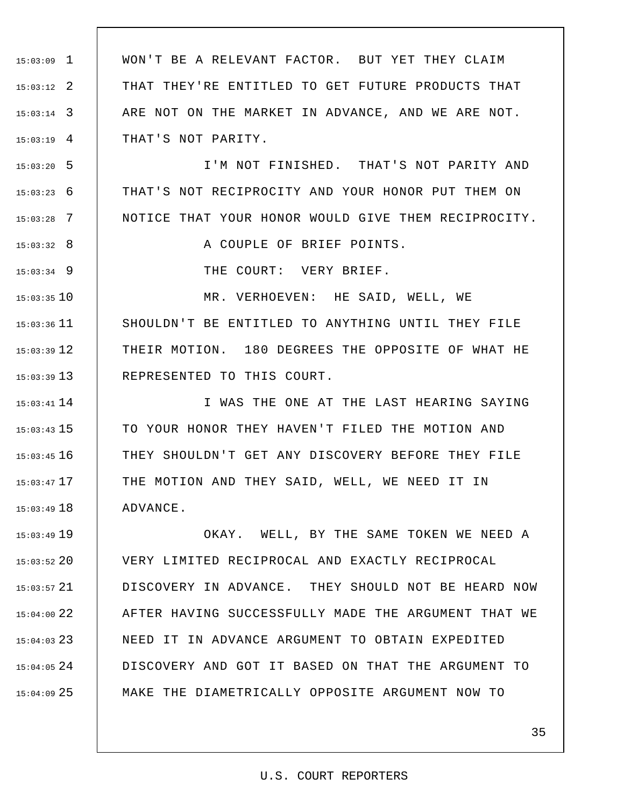1 15:03:09 2 15:03:12 3 15:03:14 4 15:03:19 WON'T BE A RELEVANT FACTOR. BUT YET THEY CLAIM THAT THEY'RE ENTITLED TO GET FUTURE PRODUCTS THAT ARE NOT ON THE MARKET IN ADVANCE, AND WE ARE NOT. THAT'S NOT PARITY.

5 15:03:20 6 15:03:23 7 15:03:28 I'M NOT FINISHED. THAT'S NOT PARITY AND THAT'S NOT RECIPROCITY AND YOUR HONOR PUT THEM ON NOTICE THAT YOUR HONOR WOULD GIVE THEM RECIPROCITY.

A COUPLE OF BRIEF POINTS.

THE COURT: VERY BRIEF.

8 15:03:32

9 15:03:34

10 15:03:35  $15:03:36$  11 12 15:03:39 13 15:03:39 MR. VERHOEVEN: HE SAID, WELL, WE SHOULDN'T BE ENTITLED TO ANYTHING UNTIL THEY FILE THEIR MOTION. 180 DEGREES THE OPPOSITE OF WHAT HE REPRESENTED TO THIS COURT.

14 15:03:41 15 15:03:43 16 15:03:45 17 15:03:47 18 15:03:49 I WAS THE ONE AT THE LAST HEARING SAYING TO YOUR HONOR THEY HAVEN'T FILED THE MOTION AND THEY SHOULDN'T GET ANY DISCOVERY BEFORE THEY FILE THE MOTION AND THEY SAID, WELL, WE NEED IT IN ADVANCE.

19 15:03:49 20 15:03:52 21 15:03:57 22 15:04:00 23 15:04:03  $15:04:05$  24 25 15:04:09 OKAY. WELL, BY THE SAME TOKEN WE NEED A VERY LIMITED RECIPROCAL AND EXACTLY RECIPROCAL DISCOVERY IN ADVANCE. THEY SHOULD NOT BE HEARD NOW AFTER HAVING SUCCESSFULLY MADE THE ARGUMENT THAT WE NEED IT IN ADVANCE ARGUMENT TO OBTAIN EXPEDITED DISCOVERY AND GOT IT BASED ON THAT THE ARGUMENT TO MAKE THE DIAMETRICALLY OPPOSITE ARGUMENT NOW TO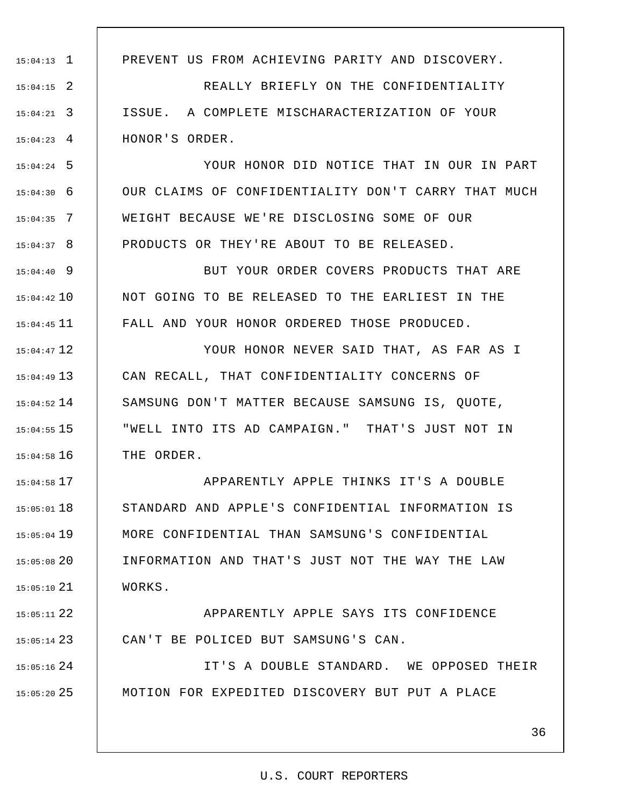1 15:04:13 2 15:04:15 3 15:04:21 4 15:04:23 PREVENT US FROM ACHIEVING PARITY AND DISCOVERY. REALLY BRIEFLY ON THE CONFIDENTIALITY ISSUE. A COMPLETE MISCHARACTERIZATION OF YOUR HONOR'S ORDER.

5 15:04:24 6 15:04:30 7 15:04:35 8 15:04:37 YOUR HONOR DID NOTICE THAT IN OUR IN PART OUR CLAIMS OF CONFIDENTIALITY DON'T CARRY THAT MUCH WEIGHT BECAUSE WE'RE DISCLOSING SOME OF OUR PRODUCTS OR THEY'RE ABOUT TO BE RELEASED.

9 15:04:40 10 15:04:42  $15:04:45$  11 BUT YOUR ORDER COVERS PRODUCTS THAT ARE NOT GOING TO BE RELEASED TO THE EARLIEST IN THE FALL AND YOUR HONOR ORDERED THOSE PRODUCED.

12 15:04:47 13 15:04:49  $15:04:52$   $14$ 15 15:04:55 16 15:04:58 YOUR HONOR NEVER SAID THAT, AS FAR AS I CAN RECALL, THAT CONFIDENTIALITY CONCERNS OF SAMSUNG DON'T MATTER BECAUSE SAMSUNG IS, QUOTE, "WELL INTO ITS AD CAMPAIGN." THAT'S JUST NOT IN THE ORDER.

17 15:04:58 18 15:05:01 19 15:05:04 20 15:05:08 21 15:05:10 APPARENTLY APPLE THINKS IT'S A DOUBLE STANDARD AND APPLE'S CONFIDENTIAL INFORMATION IS MORE CONFIDENTIAL THAN SAMSUNG'S CONFIDENTIAL INFORMATION AND THAT'S JUST NOT THE WAY THE LAW WORKS.

22 15:05:11 23 15:05:14 APPARENTLY APPLE SAYS ITS CONFIDENCE CAN'T BE POLICED BUT SAMSUNG'S CAN.

 $15:05:16$  24 25 15:05:20 IT'S A DOUBLE STANDARD. WE OPPOSED THEIR MOTION FOR EXPEDITED DISCOVERY BUT PUT A PLACE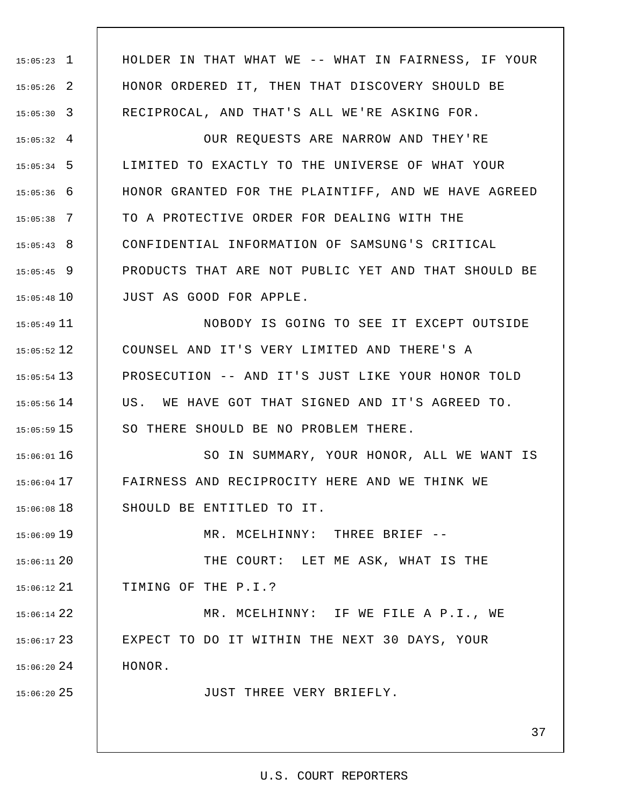1 15:05:23 2 15:05:26 3 15:05:30  $15:05:32$  4 5 15:05:34 6 15:05:36 7 15:05:38 8 15:05:43 9 15:05:45  $15:05:48$  10  $15:05:49$   $11$ 12 15:05:52 13 15:05:54  $15:05:56$   $14$ 15 15:05:59 16 15:06:01 17 15:06:04 18 15:06:08 19 15:06:09 20 15:06:11 21 15:06:12 22 15:06:14 23 15:06:17  $15:06:20$  24 25 15:06:20 HOLDER IN THAT WHAT WE -- WHAT IN FAIRNESS, IF YOUR HONOR ORDERED IT, THEN THAT DISCOVERY SHOULD BE RECIPROCAL, AND THAT'S ALL WE'RE ASKING FOR. OUR REQUESTS ARE NARROW AND THEY'RE LIMITED TO EXACTLY TO THE UNIVERSE OF WHAT YOUR HONOR GRANTED FOR THE PLAINTIFF, AND WE HAVE AGREED TO A PROTECTIVE ORDER FOR DEALING WITH THE CONFIDENTIAL INFORMATION OF SAMSUNG'S CRITICAL PRODUCTS THAT ARE NOT PUBLIC YET AND THAT SHOULD BE JUST AS GOOD FOR APPLE. NOBODY IS GOING TO SEE IT EXCEPT OUTSIDE COUNSEL AND IT'S VERY LIMITED AND THERE'S A PROSECUTION -- AND IT'S JUST LIKE YOUR HONOR TOLD US. WE HAVE GOT THAT SIGNED AND IT'S AGREED TO. SO THERE SHOULD BE NO PROBLEM THERE. SO IN SUMMARY, YOUR HONOR, ALL WE WANT IS FAIRNESS AND RECIPROCITY HERE AND WE THINK WE SHOULD BE ENTITLED TO IT. MR. MCELHINNY: THREE BRIEF -- THE COURT: LET ME ASK, WHAT IS THE TIMING OF THE P.I.? MR. MCELHINNY: IF WE FILE A P.I., WE EXPECT TO DO IT WITHIN THE NEXT 30 DAYS, YOUR HONOR. JUST THREE VERY BRIEFLY.

#### U.S. COURT REPORTERS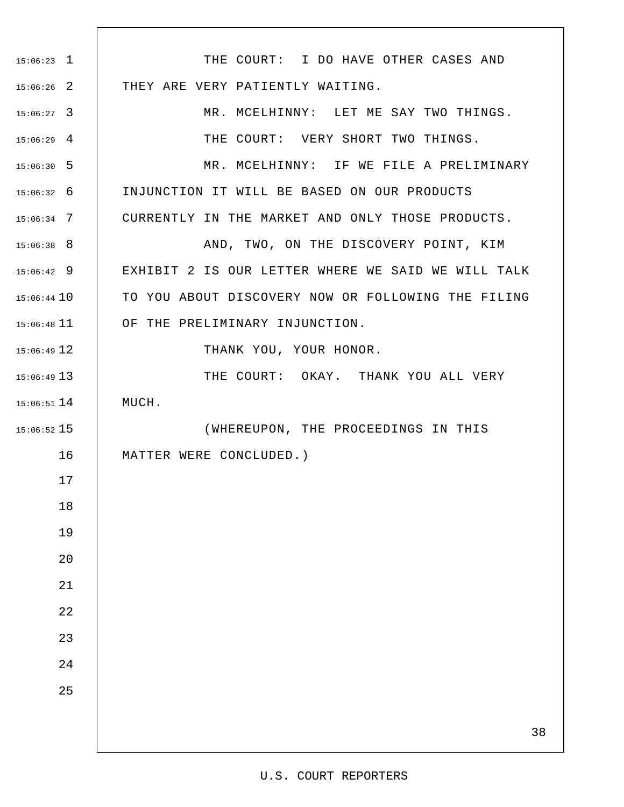| $15:06:23$ 1  | THE COURT: I DO HAVE OTHER CASES AND               |
|---------------|----------------------------------------------------|
| $15:06:26$ 2  | THEY ARE VERY PATIENTLY WAITING.                   |
| $15:06:27$ 3  | MR. MCELHINNY: LET ME SAY TWO THINGS.              |
| $15:06:29$ 4  | THE COURT: VERY SHORT TWO THINGS.                  |
| $15:06:30$ 5  | MR. MCELHINNY: IF WE FILE A PRELIMINARY            |
| $15:06:32$ 6  | INJUNCTION IT WILL BE BASED ON OUR PRODUCTS        |
| $15:06:34$ 7  | CURRENTLY IN THE MARKET AND ONLY THOSE PRODUCTS.   |
| $15:06:38$ 8  | AND, TWO, ON THE DISCOVERY POINT, KIM              |
| $15:06:42$ 9  | EXHIBIT 2 IS OUR LETTER WHERE WE SAID WE WILL TALK |
| $15:06:44$ 10 | TO YOU ABOUT DISCOVERY NOW OR FOLLOWING THE FILING |
| $15:06:48$ 11 | OF THE PRELIMINARY INJUNCTION.                     |
| $15:06:49$ 12 | THANK YOU, YOUR HONOR.                             |
| $15:06:49$ 13 | THE COURT: OKAY. THANK YOU ALL VERY                |
| $15:06:51$ 14 | MUCH.                                              |
| $15:06:52$ 15 | (WHEREUPON, THE PROCEEDINGS IN THIS                |
| 16            | MATTER WERE CONCLUDED.)                            |
| 17            |                                                    |
| 18            |                                                    |
| 19            |                                                    |
| 20            |                                                    |
| 21            |                                                    |
| 22            |                                                    |
| 23            |                                                    |
| 24            |                                                    |
| 25            |                                                    |
|               |                                                    |
|               | 38                                                 |